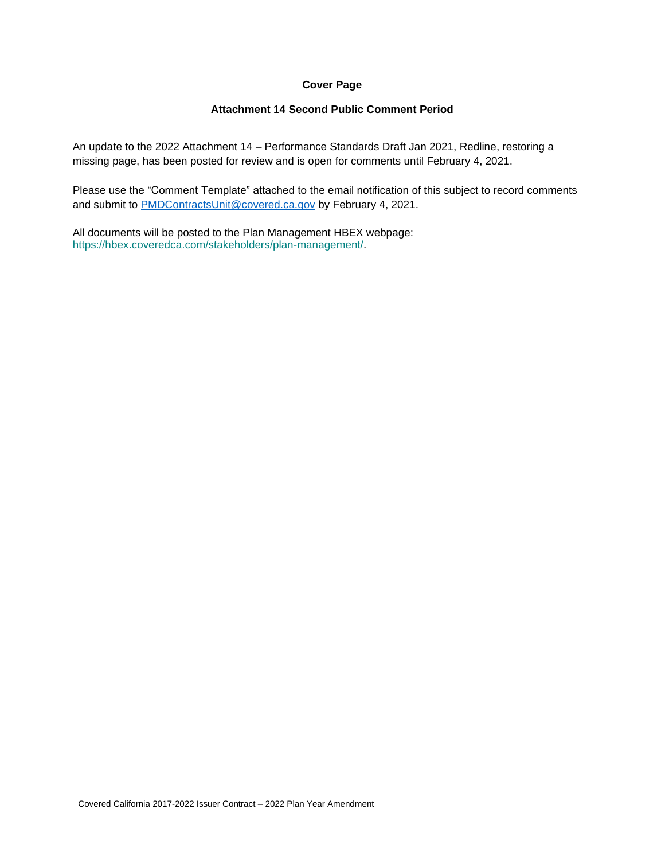# **Cover Page**

# **Attachment 14 Second Public Comment Period**

An update to the 2022 Attachment 14 – Performance Standards Draft Jan 2021, Redline, restoring a missing page, has been posted for review and is open for comments until February 4, 2021.

Please use the "Comment Template" attached to the email notification of this subject to record comments and submit to **PMDContractsUnit@covered.ca.gov** by February 4, 2021.

All documents will be posted to the Plan Management HBEX webpage: https://hbex.coveredca.com/stakeholders/plan-management/.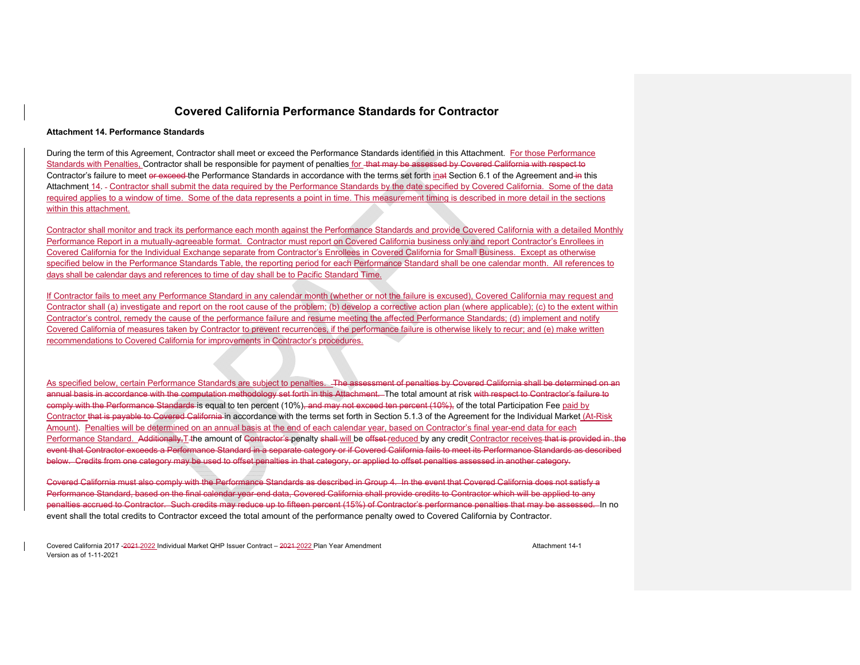#### **Attachment 14. Performance Standards**

During the term of this Agreement, Contractor shall meet or exceed the Performance Standards identified in this Attachment. For those Performance Standards with Penalties, Contractor shall be responsible for payment of penalties for that may be assessed by Covered California with respect to Contractor's failure to meet or exceed the Performance Standards in accordance with the terms set forth inat Section 6.1 of the Agreement and in this Attachment 14. Contractor shall submit the data required by the Performance Standards by the date specified by Covered California. Some of the data required applies to a window of time. Some of the data represents a point in time. This measurement timing is described in more detail in the sections within this attachment.

Contractor shall monitor and track its performance each month against the Performance Standards and provide Covered California with a detailed Monthly Performance Report in a mutually-agreeable format. Contractor must report on Covered California business only and report Contractor's Enrollees in Covered California for the Individual Exchange separate from Contractor's Enrollees in Covered California for Small Business. Except as otherwise specified below in the Performance Standards Table, the reporting period for each Performance Standard shall be one calendar month. All references to days shall be calendar days and references to time of day shall be to Pacific Standard Time.

If Contractor fails to meet any Performance Standard in any calendar month (whether or not the failure is excused), Covered California may request and Contractor shall (a) investigate and report on the root cause of the problem; (b) develop a corrective action plan (where applicable); (c) to the extent within Contractor's control, remedy the cause of the performance failure and resume meeting the affected Performance Standards; (d) implement and notify Covered California of measures taken by Contractor to prevent recurrences, if the performance failure is otherwise likely to recur; and (e) make written recommendations to Covered California for improvements in Contractor's procedures.

As specified below, certain Performance Standards are subject to penalties. The assessment of penalties by Covered California shall be determined on an annual basis in accordance with the computation methodology set forth in this Attachment. The total amount at risk with respect to Contractor's failure to comply with the Performance Standards is equal to ten percent (10%), and may not exceed ten percent (10%), of the total Participation Fee paid by Contractor that is payable to Covered California in accordance with the terms set forth in Section 5.1.3 of the Agreement for the Individual Market (At-Risk Amount). Penalties will be determined on an annual basis at the end of each calendar year, based on Contractor's final year-end data for each Performance Standard. Additionally, T-the amount of Contractor's penalty shall will be offset reduced by any credit Contractor receives that is provided in the event that Contractor exceeds a Performance Standard in a separate category or if Covered California fails to meet its Performance Standards as described below. Credits from one category may be used to offset penalties in that category, or applied to offset penalties assessed in another category.

Covered California must also comply with the Performance Standards as described in Group 4. In the event that Covered California does not satisfy a Performance Standard, based on the final calendar year-end data, Covered California shall provide credits to Contractor which will be applied to any penalties accrued to Contractor. Such credits may reduce up to fifteen percent (15%) of Contractor's performance penalties that may be assessed. In no event shall the total credits to Contractor exceed the total amount of the performance penalty owed to Covered California by Contractor.

Covered California 2017 -2021 2022 Individual Market QHP Issuer Contract – 2021 2022 Plan Year Amendment Attachment 14-1Version as of 1-11-2021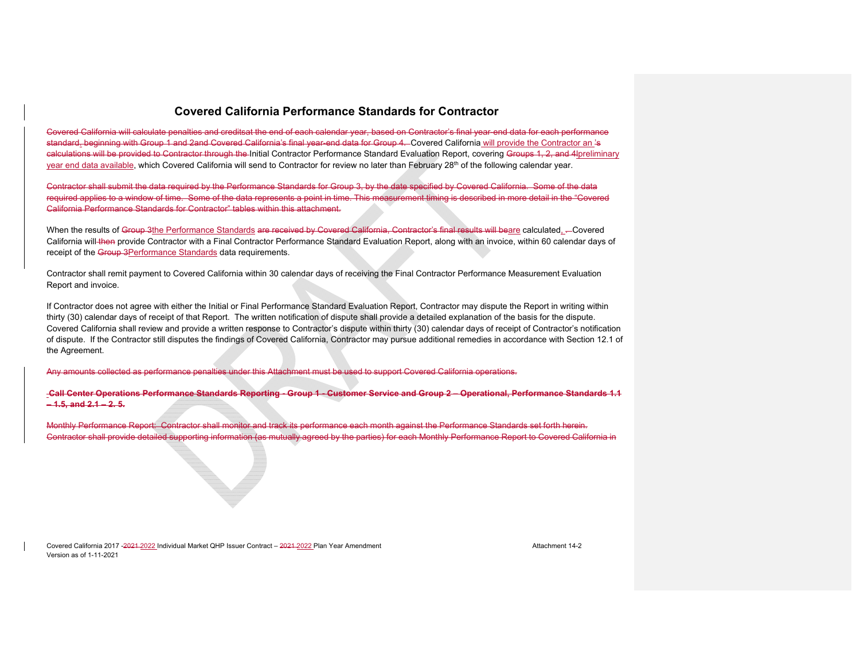Covered California will calculate penalties and creditsat the end of each calendar year, based on Contractor's final year-end data for each performance standard. beginning with Group 1 and 2and Covered California's final year-end data for Group 4. Covered California will provide the Contractor an 's calculations will be provided to Contractor through the Initial Contractor Performance Standard Evaluation Report, covering Groups 1, 2, and 4lpreliminary year end data available, which Covered California will send to Contractor for review no later than February 28<sup>th</sup> of the following calendar year.

Contractor shall submit the data required by the Performance Standards for Group 3, by the date specified by Covered California. Some of the data required applies to a window of time. Some of the data represents a point in time. This measurement timing is described in more detail in the "Covered California Performance Standards for Contractor" tables within this attachment.

When the results of Group 3the Performance Standards are received by Covered California, Contractor's final results will beare calculated, - Covered California will then provide Contractor with a Final Contractor Performance Standard Evaluation Report, along with an invoice, within 60 calendar days of receipt of the Group 3Performance Standards data requirements.

Contractor shall remit payment to Covered California within 30 calendar days of receiving the Final Contractor Performance Measurement Evaluation Report and invoice.

If Contractor does not agree with either the Initial or Final Performance Standard Evaluation Report, Contractor may dispute the Report in writing within thirty (30) calendar days of receipt of that Report. The written notification of dispute shall provide a detailed explanation of the basis for the dispute. Covered California shall review and provide a written response to Contractor's dispute within thirty (30) calendar days of receipt of Contractor's notification of dispute. If the Contractor still disputes the findings of Covered California, Contractor may pursue additional remedies in accordance with Section 12.1 of the Agreement.

Any amounts collected as performance penalties under this Attachment must be used to support Covered California operations.

 **Call Center Operations Performance Standards Reporting - Group 1 - Customer Service and Group 2 – Operational, Performance Standards 1.1 – 1.5, and 2.1 – 2. 5.** 

Monthly Performance Report: Contractor shall monitor and track its performance each month against the Performance Standards set forth herein. Contractor shall provide detailed supporting information (as mutually agreed by the parties) for each Monthly Performance Report to Covered California in

Covered California 2017 -2021 2022 Individual Market QHP Issuer Contract – 2021 2022 Plan Year Amendment Attachment 14-2Version as of 1-11-2021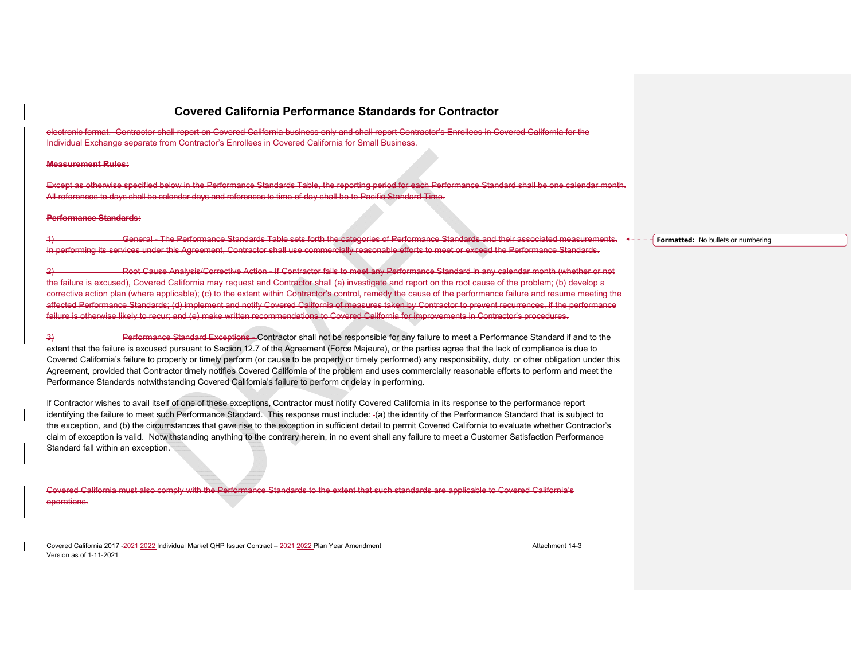electronic format. Contractor shall report on Covered California business only and shall report Contractor's Enrollees in Covered California for the Individual Exchange separate from Contractor's Enrollees in Covered California for Small Business.

#### **Measurement Rules:**

Except as otherwise specified below in the Performance Standards Table, the reporting period for each Performance Standard shall be one calendar month. All references to days shall be calendar days and references to time of day shall be to Pacific Standard Time.

#### **Performance Standards:**

General - The Performance Standards Table sets forth the categories of Performance Standards and their associated measurements.  $\leftarrow -$ In performing its services under this Agreement, Contractor shall use commercially reasonable efforts to meet or exceed the Performance Standards.

2) Root Cause Analysis/Corrective Action - If Contractor fails to meet any Performance Standard in any calendar month (whether or not the failure is excused), Covered California may request and Contractor shall (a) investigate and report on the root cause of the problem; (b) develop a corrective action plan (where applicable); (c) to the extent within Contractor's control, remedy the cause of the performance failure and resume meeting the affected Performance Standards; (d) implement and notify Covered California of measures taken by Contractor to prevent recurrences, if the performance failure is otherwise likely to recur; and (e) make written recommendations to Covered California for improvements in Contractor's procedures.

3) Performance Standard Exceptions - Contractor shall not be responsible for any failure to meet a Performance Standard if and to the extent that the failure is excused pursuant to Section 12.7 of the Agreement (Force Majeure), or the parties agree that the lack of compliance is due to Covered California's failure to properly or timely perform (or cause to be properly or timely performed) any responsibility, duty, or other obligation under this Agreement, provided that Contractor timely notifies Covered California of the problem and uses commercially reasonable efforts to perform and meet the Performance Standards notwithstanding Covered California's failure to perform or delay in performing.

If Contractor wishes to avail itself of one of these exceptions, Contractor must notify Covered California in its response to the performance report identifying the failure to meet such Performance Standard. This response must include: (a) the identity of the Performance Standard that is subject to the exception, and (b) the circumstances that gave rise to the exception in sufficient detail to permit Covered California to evaluate whether Contractor's claim of exception is valid. Notwithstanding anything to the contrary herein, in no event shall any failure to meet a Customer Satisfaction Performance Standard fall within an exception.

Covered California must also comply with the Performance Standards to the extent that such standards are applicable to Covered California's operations.

Covered California 2017 -2021 2022 Individual Market QHP Issuer Contract – 2021 2022 Plan Year Amendment Attachment 14-3Version as of 1-11-2021

**Formatted:** No bullets or numbering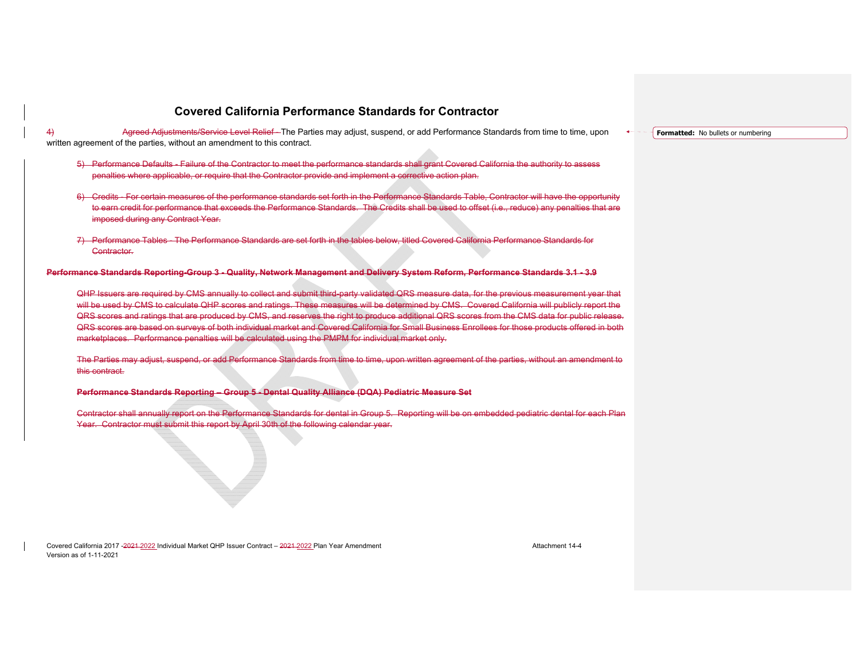4) Agreed Adjustments/Service Level Relief - The Parties may adjust, suspend, or add Performance Standards from time to time, upon written agreement of the parties, without an amendment to this contract.

- 5) Performance Defaults Failure of the Contractor to meet the performance standards shall grant Covered California the authority to assess penalties where applicable, or require that the Contractor provide and implement a corrective action plan.
- 6) Credits For certain measures of the performance standards set forth in the Performance Standards Table, Contractor will have the opportunity to earn credit for performance that exceeds the Performance Standards. The Credits shall be used to offset (i.e., reduce) any penalties that are imposed during any Contract Year.
- 7) Performance Tables The Performance Standards are set forth in the tables below, titled Covered California Performance Standards for Contractor.

**Performance Standards Reporting-Group 3 - Quality, Network Management and Delivery System Reform, Performance Standards 3.1 - 3.9** 

QHP Issuers are required by CMS annually to collect and submit third-party validated QRS measure data, for the previous measurement year that will be used by CMS to calculate QHP scores and ratings. These measures will be determined by CMS. Covered California will publicly report the QRS scores and ratings that are produced by CMS, and reserves the right to produce additional QRS scores from the CMS data for public release. QRS scores are based on surveys of both individual market and Covered California for Small Business Enrollees for those products offered in both marketplaces. Performance penalties will be calculated using the PMPM for individual market only.

The Parties may adjust, suspend, or add Performance Standards from time to time, upon written agreement of the parties, without an amendment to this contract.

**Performance Standards Reporting – Group 5 - Dental Quality Alliance (DQA) Pediatric Measure Set** 

Contractor shall annually report on the Performance Standards for dental in Group 5. Reporting will be on embedded pediatric dental for each Plan Year. Contractor must submit this report by April 30th of the following calendar year.

Covered California 2017 -2021 2022 Individual Market QHP Issuer Contract – 2021 2022 Plan Year Amendment Attachment 14-4Version as of 1-11-2021

**Formatted:** No bullets or numbering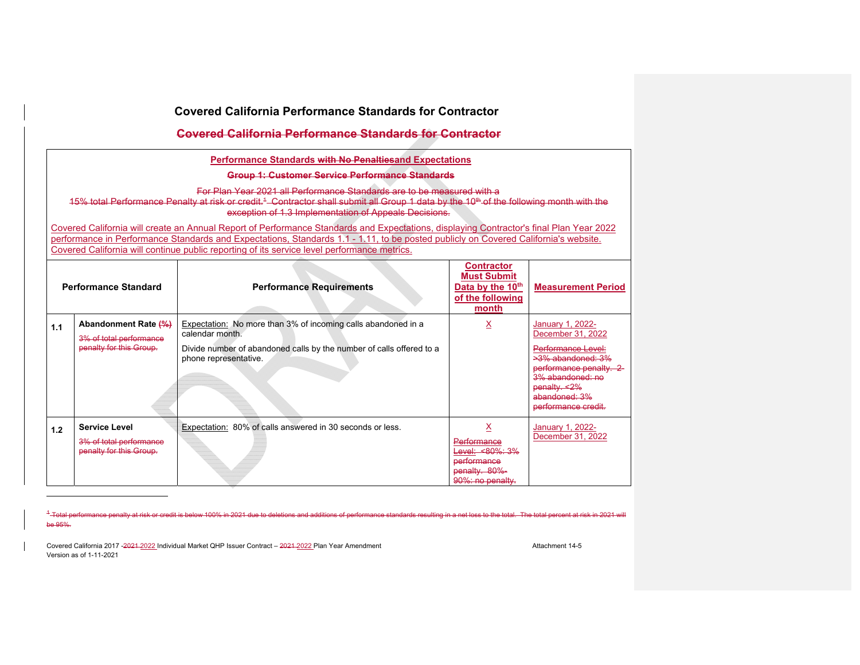|     | Covered California Performance Standards for Contractor                    |                                                                                                                                                                                                                                                                                                                                                                               |                                                                                          |                                                                                                                                                                                               |  |  |
|-----|----------------------------------------------------------------------------|-------------------------------------------------------------------------------------------------------------------------------------------------------------------------------------------------------------------------------------------------------------------------------------------------------------------------------------------------------------------------------|------------------------------------------------------------------------------------------|-----------------------------------------------------------------------------------------------------------------------------------------------------------------------------------------------|--|--|
|     |                                                                            | <b>Covered California Performance Standards for Contractor</b>                                                                                                                                                                                                                                                                                                                |                                                                                          |                                                                                                                                                                                               |  |  |
|     |                                                                            | <b>Performance Standards with No Penaltiesand Expectations</b>                                                                                                                                                                                                                                                                                                                |                                                                                          |                                                                                                                                                                                               |  |  |
|     |                                                                            | Group 1: Customer Service Performance Standards                                                                                                                                                                                                                                                                                                                               |                                                                                          |                                                                                                                                                                                               |  |  |
|     |                                                                            | For Plan Year 2021 all Performance Standards are to be measured with a<br>15% total Performance Penalty at risk or credit. <sup>4</sup> Contractor shall submit all Group 1 data by the 10 <sup>th</sup> of the following month with the<br>exception of 1.3 Implementation of Appeals Decisions.                                                                             |                                                                                          |                                                                                                                                                                                               |  |  |
|     |                                                                            | Covered California will create an Annual Report of Performance Standards and Expectations, displaying Contractor's final Plan Year 2022<br>performance in Performance Standards and Expectations, Standards 1.1 - 1.11, to be posted publicly on Covered California's website.<br>Covered California will continue public reporting of its service level performance metrics. |                                                                                          |                                                                                                                                                                                               |  |  |
|     | <b>Performance Standard</b>                                                | <b>Performance Requirements</b>                                                                                                                                                                                                                                                                                                                                               | <b>Contractor</b><br><b>Must Submit</b><br>Data by the 10th<br>of the following<br>month | <b>Measurement Period</b>                                                                                                                                                                     |  |  |
| 1.1 | Abandonment Rate (%)<br>3% of total performance<br>penalty for this Group. | Expectation: No more than 3% of incoming calls abandoned in a<br>calendar month.<br>Divide number of abandoned calls by the number of calls offered to a<br>phone representative.                                                                                                                                                                                             | х                                                                                        | January 1, 2022-<br>December 31, 2022<br>Performance Level:<br>$>3\%$ abandoned: $3\%$<br>performance penalty. 2-<br>3% abandoned: no<br>penalty. <2%<br>abandoned: 3%<br>performance credit. |  |  |
| 1.2 | <b>Service Level</b><br>3% of total performance<br>penalty for this Group. | Expectation: 80% of calls answered in 30 seconds or less.                                                                                                                                                                                                                                                                                                                     | х<br>Performance<br>Level: <80%: 3%<br>performance<br>penalty. 80%-<br>90%: no penalty.  | January 1, 2022-<br>December 31, 2022                                                                                                                                                         |  |  |

<sup>1</sup>-Total performance penalty at risk or credit is below 100% in 2021 due to deletions and additions of performance standards resulting in a net loss to the total. The total percent at risk in 2021 will be 95%.

Covered California 2017 -2021 -2022 Individual Market QHP Issuer Contract - 2021-2022 Plan Year Amendment Amendment Version as of 1-11-2021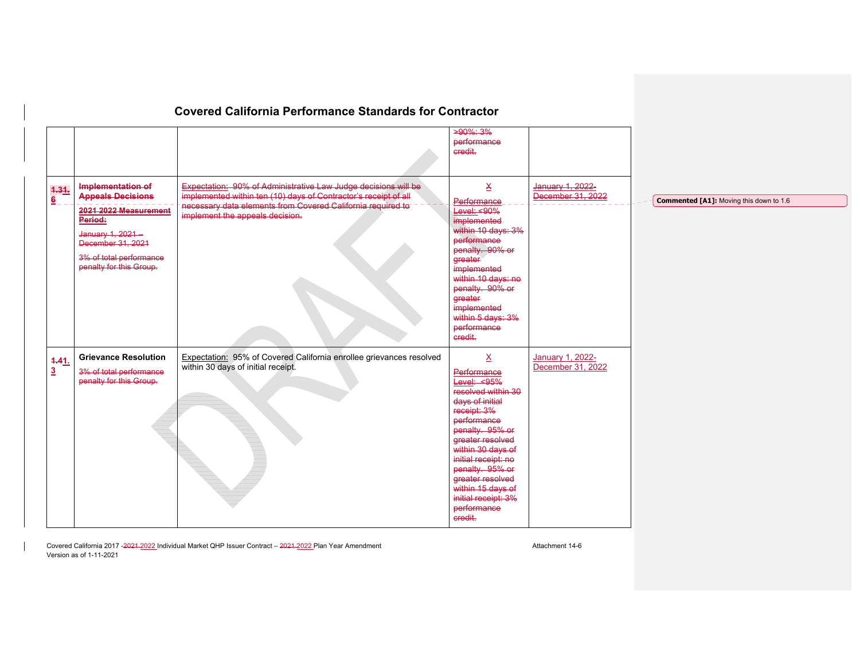|                           |                                                                                                                                 | <b>Covered California Performance Standards for Contractor</b>                                                                           | $>90\%$ ; 3%<br>performance                                                                                                                                                                                                                                                                                                   |                                              |                                                |
|---------------------------|---------------------------------------------------------------------------------------------------------------------------------|------------------------------------------------------------------------------------------------------------------------------------------|-------------------------------------------------------------------------------------------------------------------------------------------------------------------------------------------------------------------------------------------------------------------------------------------------------------------------------|----------------------------------------------|------------------------------------------------|
| 1.31.<br>$6 \overline{6}$ | Implementation of<br><b>Appeals Decisions</b>                                                                                   | <b>Expectation: 90% of Administrative Law Judge decisions will be</b><br>implemented within ten (10) days of Contractor's receipt of all | credit.<br>$\mathbf{\underline{x}}$<br>Performance                                                                                                                                                                                                                                                                            | January 1, 2022-<br>December 31, 2022        | <b>Commented [A1]:</b> Moving this down to 1.6 |
|                           | 2021 2022 Measurement<br>Period:<br>January 1, 2021-<br>December 31, 2021<br>3% of total performance<br>penalty for this Group. | necessary data elements from Covered California required to<br>implement the appeals decision.                                           | <b>Level: &lt;90%</b><br>implemented<br>within 10 days: 3%<br>performance<br>penalty. 90% or<br>greater<br>implemented<br>within 10 days: no<br>penalty. 90% or<br>greater<br>implemented<br>within 5 days: 3%<br>performance<br>credit.                                                                                      |                                              |                                                |
| 4.41.<br>$\overline{3}$   | <b>Grievance Resolution</b><br>3% of total performance<br>penalty for this Group.                                               | Expectation: 95% of Covered California enrollee grievances resolved<br>within 30 days of initial receipt.                                | $\underline{\mathsf{X}}$<br>Performance<br>Level: <95%<br>resolved within 30<br>days of initial<br>receipt: 3%<br>performance<br>penalty. 95% or<br>greater resolved<br>within 30 days of<br>initial receipt: no<br>penalty. 95% or<br>greater resolved<br>within 15 days of<br>initial receipt: 3%<br>performance<br>credit. | <b>January 1, 2022-</b><br>December 31, 2022 |                                                |

Covered California 2017 -2021-2022 Individual Market QHP Issuer Contract – 2021-2022 Plan Year Amendment Amendment Version as of 1-11-2021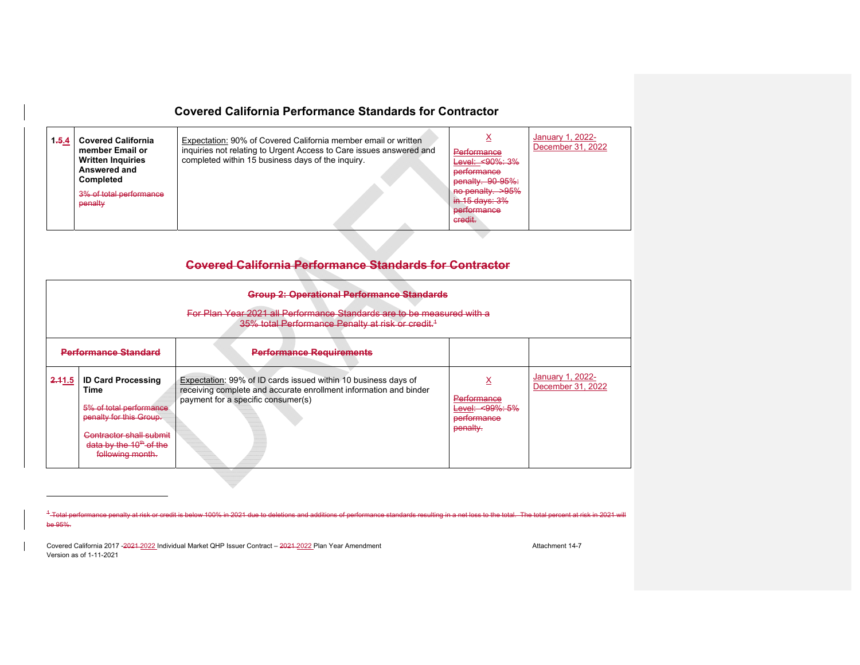| 1,5.4 | <b>Covered California</b><br>member Email or<br><b>Written Inquiries</b><br>Answered and<br><b>Completed</b><br>3% of total performance<br>penalty | Expectation: 90% of Covered California member email or written<br>inquiries not relating to Urgent Access to Care issues answered and<br>completed within 15 business days of the inquiry. | Performance<br>Level: $< 90\%$ : $3\%$<br>performance<br>penalty. 90-95%:<br>no penalty. >95%<br>$in 15$ days: $3\%$<br>performance<br>credit. | January 1, 2022-<br>December 31, 2022 |
|-------|----------------------------------------------------------------------------------------------------------------------------------------------------|--------------------------------------------------------------------------------------------------------------------------------------------------------------------------------------------|------------------------------------------------------------------------------------------------------------------------------------------------|---------------------------------------|
|-------|----------------------------------------------------------------------------------------------------------------------------------------------------|--------------------------------------------------------------------------------------------------------------------------------------------------------------------------------------------|------------------------------------------------------------------------------------------------------------------------------------------------|---------------------------------------|

# **Covered California Performance Standards for Contractor**

|                             | <b>Group 2: Operational Performance Standards</b><br>For Plan Year 2021 all Performance Standards are to be measured with a<br>35% total Performance Penalty at risk or credit. <sup>4</sup> |                                                                                                                                                                           |                                                           |                                       |  |  |  |
|-----------------------------|----------------------------------------------------------------------------------------------------------------------------------------------------------------------------------------------|---------------------------------------------------------------------------------------------------------------------------------------------------------------------------|-----------------------------------------------------------|---------------------------------------|--|--|--|
| <b>Performance Standard</b> |                                                                                                                                                                                              | <b>Performance Requirements</b>                                                                                                                                           |                                                           |                                       |  |  |  |
| 2.41.5                      | <b>ID Card Processing</b><br>Time<br>5% of total performance<br>penalty for this Group.<br>Contractor shall submit<br>data by the $10th$ of the<br>following month.                          | Expectation: 99% of ID cards issued within 10 business days of<br>receiving complete and accurate enrollment information and binder<br>payment for a specific consumer(s) | Performance<br>Level: <99%: 5%<br>performance<br>penalty. | January 1, 2022-<br>December 31, 2022 |  |  |  |

<sup>1</sup>-Total performance penalty at risk or credit is below 100% in 2021 due to deletions and additions of performance standards resulting in a net loss to the total. The total percent at risk in be 95%.

Covered California 2017 -2021-2022 Individual Market QHP Issuer Contract – 2021-2022 Plan Year Amendment Amendment Version as of 1-11-2021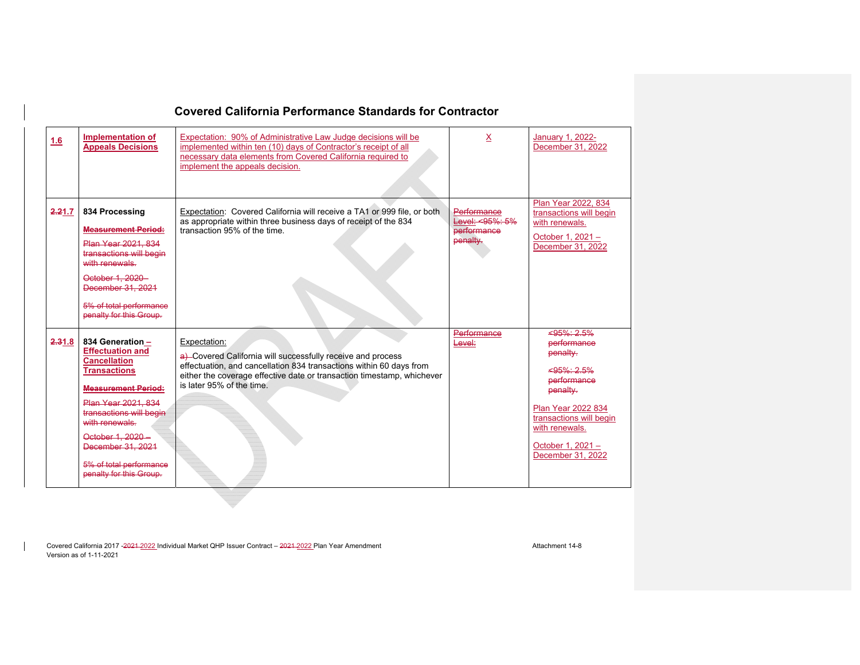| 1.6    | <b>Implementation of</b><br><b>Appeals Decisions</b>                                                                                                                                                                                                                                        | Expectation: 90% of Administrative Law Judge decisions will be<br>implemented within ten (10) days of Contractor's receipt of all<br>necessary data elements from Covered California required to<br>implement the appeals decision.                       | х                                                         | January 1, 2022-<br>December 31, 2022                                                                                                                                                                      |
|--------|---------------------------------------------------------------------------------------------------------------------------------------------------------------------------------------------------------------------------------------------------------------------------------------------|-----------------------------------------------------------------------------------------------------------------------------------------------------------------------------------------------------------------------------------------------------------|-----------------------------------------------------------|------------------------------------------------------------------------------------------------------------------------------------------------------------------------------------------------------------|
| 2.21.7 | 834 Processing<br><b>Measurement Period:</b><br>Plan Year 2021, 834<br>transactions will begin<br>with renewals.<br>October 1, 2020-<br>December 31, 2021<br>5% of total performance<br>penalty for this Group.                                                                             | Expectation: Covered California will receive a TA1 or 999 file, or both<br>as appropriate within three business days of receipt of the 834<br>transaction 95% of the time.                                                                                | Performance<br>Level: <95%: 5%<br>performance<br>penalty. | Plan Year 2022, 834<br>transactions will begin<br>with renewals.<br>October 1, 2021 -<br>December 31, 2022                                                                                                 |
| 2,31.8 | 834 Generation -<br><b>Effectuation and</b><br><b>Cancellation</b><br><b>Transactions</b><br><b>Measurement Period:</b><br>Plan Year 2021, 834<br>transactions will begin<br>with renewals.<br>October 1, 2020 -<br>December 31, 2021<br>5% of total performance<br>penalty for this Group. | Expectation:<br>a) Covered California will successfully receive and process<br>effectuation, and cancellation 834 transactions within 60 days from<br>either the coverage effective date or transaction timestamp, whichever<br>is later 95% of the time. | <b>Performance</b><br>Level:                              | $595\% : 2.5\%$<br>performance<br>penalty.<br>$< 95\% \cdot 2.5\%$<br>performance<br>penalty.<br>Plan Year 2022 834<br>transactions will begin<br>with renewals.<br>October 1, 2021 -<br>December 31, 2022 |

Covered California 2017 -2021-2022 Individual Market QHP Issuer Contract – 2021-2022 Plan Year Amendment Amendment Version as of 1-11-2021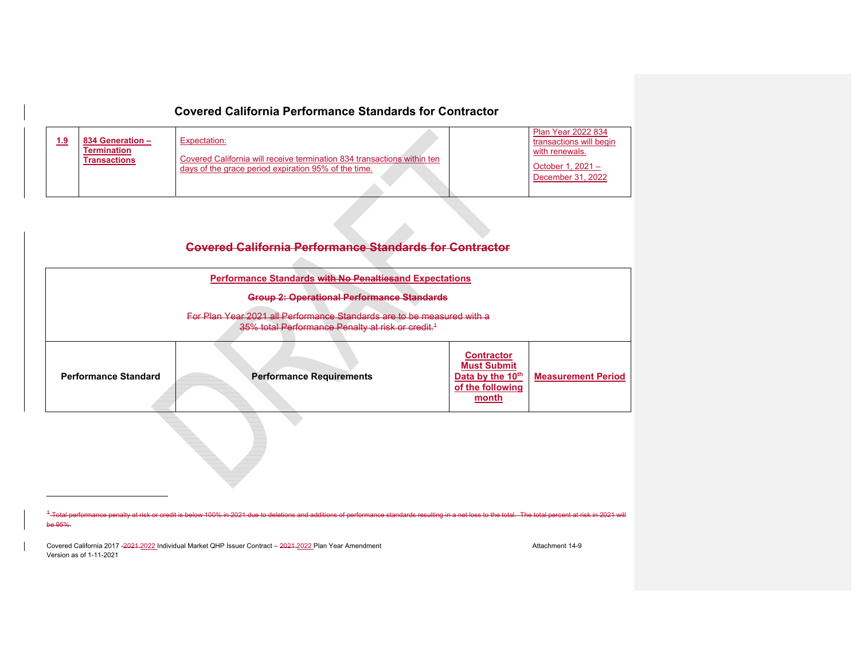| <u>1.9</u> | 834 Generation -<br><b>Termination</b><br><b>Transactions</b> | Expectation:<br>Covered California will receive termination 834 transactions within ten<br>days of the grace period expiration 95% of the time. | <b>Plan Year 2022 834</b><br>transactions will begin<br>with renewals.<br>October 1, $2021 -$<br>December 31, 2022 |
|------------|---------------------------------------------------------------|-------------------------------------------------------------------------------------------------------------------------------------------------|--------------------------------------------------------------------------------------------------------------------|
|            |                                                               |                                                                                                                                                 |                                                                                                                    |

| <b>Performance Requirements</b> | <b>Contractor</b><br><b>Must Submit</b><br>Data by the 10th<br>of the following<br>month | <b>Measurement Period</b>                                                                                                                                                                                                                                                                                                        |
|---------------------------------|------------------------------------------------------------------------------------------|----------------------------------------------------------------------------------------------------------------------------------------------------------------------------------------------------------------------------------------------------------------------------------------------------------------------------------|
|                                 |                                                                                          | <b>Covered California Performance Standards for Contractor</b><br><b>Performance Standards with No Penaltiesand Expectations</b><br><b>Group 2: Operational Performance Standards</b><br>For Plan Year 2021 all Performance Standards are to be measured with a<br>35% total Performance Penalty at risk or credit. <sup>1</sup> |

<sup>1</sup>-Total performance penalty at risk or credit is bel additions of performance standards resulting in a net loss to the total. The total percent at risk in 2021 wil be 95%.

Covered California 2017 -2021 -2022 Individual Market QHP Issuer Contract – 2021-2022 Plan Year Amendment Amendment Version as of 1-11-2021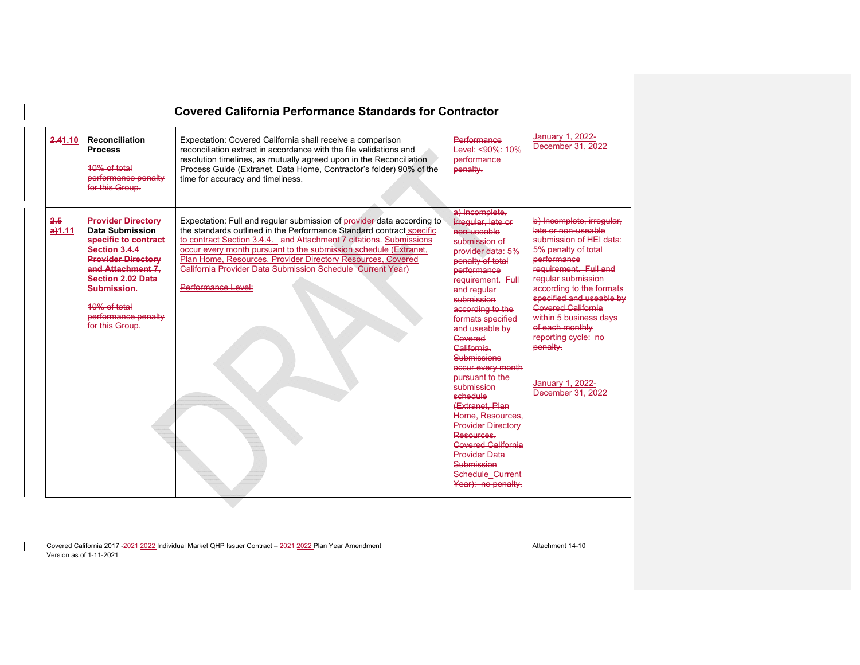| 2.41.10       | <b>Reconciliation</b><br><b>Process</b><br>$10\%$ of total<br>performance penalty<br>for this Group.                                                                                                                                                | Expectation: Covered California shall receive a comparison<br>reconciliation extract in accordance with the file validations and<br>resolution timelines, as mutually agreed upon in the Reconciliation<br>Process Guide (Extranet, Data Home, Contractor's folder) 90% of the<br>time for accuracy and timeliness.                                                                                                                         | Performance<br>Level: <90%: 10%<br>performance<br>penalty.                                                                                                                                                                                                                                                                                                                                                                                                                                                                                         | January 1, 2022-<br>December 31, 2022                                                                                                                                                                                                                                                                                                                                          |
|---------------|-----------------------------------------------------------------------------------------------------------------------------------------------------------------------------------------------------------------------------------------------------|---------------------------------------------------------------------------------------------------------------------------------------------------------------------------------------------------------------------------------------------------------------------------------------------------------------------------------------------------------------------------------------------------------------------------------------------|----------------------------------------------------------------------------------------------------------------------------------------------------------------------------------------------------------------------------------------------------------------------------------------------------------------------------------------------------------------------------------------------------------------------------------------------------------------------------------------------------------------------------------------------------|--------------------------------------------------------------------------------------------------------------------------------------------------------------------------------------------------------------------------------------------------------------------------------------------------------------------------------------------------------------------------------|
| 2.5<br>a)1.11 | <b>Provider Directory</b><br><b>Data Submission</b><br>specific to contract<br>Section 3.4.4<br><b>Provider Directory</b><br>and Attachment 7.<br><b>Section 2.02 Data</b><br>Submission.<br>10% of total<br>performance penalty<br>for this Group. | Expectation: Full and regular submission of provider data according to<br>the standards outlined in the Performance Standard contract specific<br>to contract Section 3.4.4. and Attachment 7 citations. Submissions<br>occur every month pursuant to the submission schedule (Extranet,<br>Plan Home, Resources, Provider Directory Resources, Covered<br>California Provider Data Submission Schedule Current Year)<br>Performance Level: | a) Incomplete.<br>irregular, late or<br>non-useable<br>submission of<br>provider data: 5%<br>penalty of total<br>performance<br>requirement. Full<br>and regular<br>submission<br>according to the<br>formats specified<br>and useable by<br>Covered<br>California<br>Submissions<br>occur every month<br>pursuant to the<br>submission<br>schedule<br>(Extranet, Plan<br>Home. Resources.<br><b>Provider Directory</b><br>Resources,<br><b>Covered California</b><br><b>Provider Data</b><br>Submission<br>Schedule Current<br>Year): no penalty. | b) Incomplete, irregular,<br>late or non-useable<br>submission of HEI data:<br>5% penalty of total<br>performance<br>requirement. Full and<br>reqular submission<br>according to the formats<br>specified and useable by<br><b>Govered California</b><br>within 5 business days<br>of each monthly<br>reporting cycle: no<br>penalty.<br>January 1, 2022-<br>December 31, 2022 |

Covered California 2017 -2021 -2022 Individual Market QHP Issuer Contract – 2021-2022 Plan Year Amendment Amendment Attachment 14-10 Version as of 1-11-2021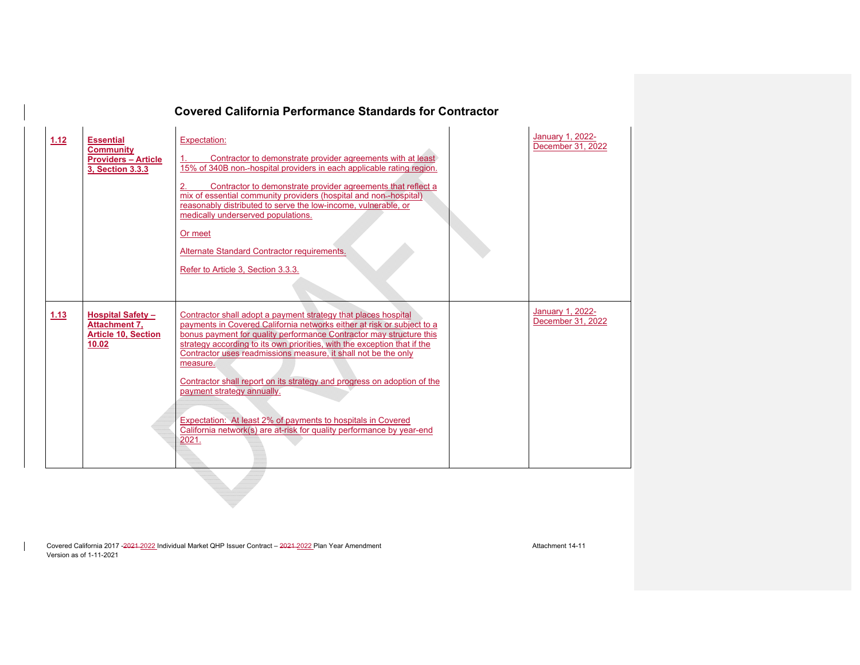| 1.12 | <b>Essential</b><br><b>Community</b><br><b>Providers - Article</b><br>3, Section 3.3.3 | Expectation:<br>Contractor to demonstrate provider agreements with at least<br>15% of 340B non--hospital providers in each applicable rating region.<br>Contractor to demonstrate provider agreements that reflect a<br>mix of essential community providers (hospital and non-hospital)<br>reasonably distributed to serve the low-income, vulnerable, or<br>medically underserved populations.<br>Or meet<br>Alternate Standard Contractor requirements.<br>Refer to Article 3, Section 3.3.3.                                                                                                                                     | January 1, 2022-<br>December 31, 2022 |
|------|----------------------------------------------------------------------------------------|--------------------------------------------------------------------------------------------------------------------------------------------------------------------------------------------------------------------------------------------------------------------------------------------------------------------------------------------------------------------------------------------------------------------------------------------------------------------------------------------------------------------------------------------------------------------------------------------------------------------------------------|---------------------------------------|
| 1.13 | <b>Hospital Safety-</b><br><b>Attachment 7.</b><br><b>Article 10, Section</b><br>10.02 | Contractor shall adopt a payment strategy that places hospital<br>payments in Covered California networks either at risk or subject to a<br>bonus payment for quality performance Contractor may structure this<br>strategy according to its own priorities, with the exception that if the<br>Contractor uses readmissions measure, it shall not be the only<br>measure.<br>Contractor shall report on its strategy and progress on adoption of the<br>payment strategy annually.<br>Expectation: At least 2% of payments to hospitals in Covered<br>California network(s) are at-risk for quality performance by year-end<br>2021. | January 1, 2022-<br>December 31, 2022 |

Covered California 2017 -2021 -2022 Individual Market QHP Issuer Contract – 2021-2022 Plan Year Amendment Amendment Attachment 14-11 Version as of 1-11-2021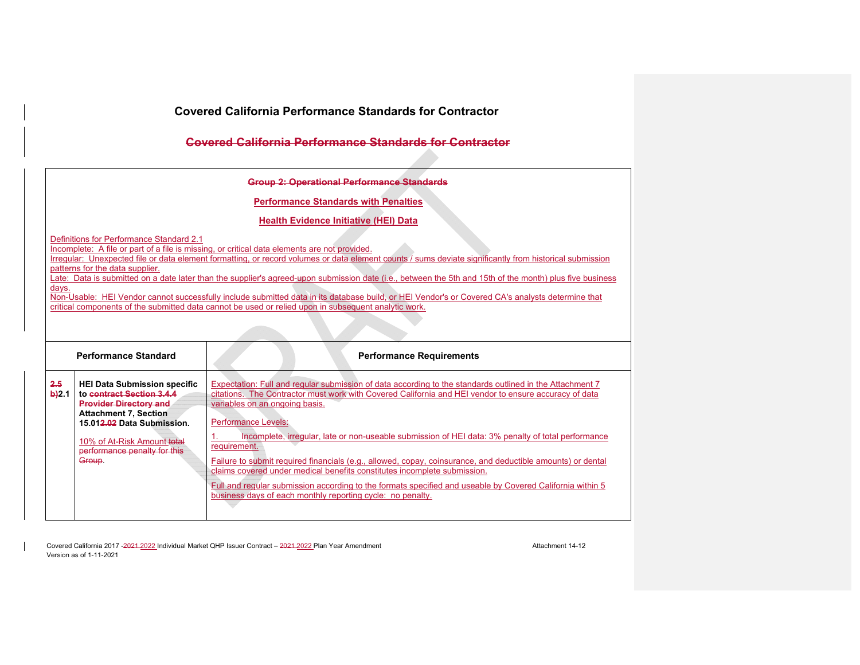## **Covered California Performance Standards for Contractor**

| Group 2: Operational Performance Standards           |
|------------------------------------------------------|
| <del>croup E. operational Ferromance otamaarac</del> |

**Performance Standards with Penalties** 

**Health Evidence Initiative (HEI) Data** 

Definitions for Performance Standard 2.1

Incomplete: A file or part of a file is missing, or critical data elements are not provided.

Irregular: Unexpected file or data element formatting, or record volumes or data element counts / sums deviate significantly from historical submission patterns for the data supplier.

Late: Data is submitted on a date later than the supplier's agreed-upon submission date (i.e., between the 5th and 15th of the month) plus five business days.

Non-Usable: HEI Vendor cannot successfully include submitted data in its database build, or HEI Vendor's or Covered CA's analysts determine that critical components of the submitted data cannot be used or relied upon in subsequent analytic work.

| <b>Performance Standard</b> |                                                                                                                                                                                                                                         | <b>Performance Requirements</b>                                                                                                                                                                                                                                                                                                                                                                                                                                                                                                                                                                                                                                                                                                                                               |
|-----------------------------|-----------------------------------------------------------------------------------------------------------------------------------------------------------------------------------------------------------------------------------------|-------------------------------------------------------------------------------------------------------------------------------------------------------------------------------------------------------------------------------------------------------------------------------------------------------------------------------------------------------------------------------------------------------------------------------------------------------------------------------------------------------------------------------------------------------------------------------------------------------------------------------------------------------------------------------------------------------------------------------------------------------------------------------|
| 2.5<br>$b$ 2.1              | <b>HEI Data Submission specific</b><br>to contract Section 3.4.4<br><b>Provider Directory and</b><br><b>Attachment 7, Section</b><br>15.012.02 Data Submission.<br>10% of At-Risk Amount total<br>performance penalty for this<br>Group | Expectation: Full and regular submission of data according to the standards outlined in the Attachment 7<br>citations. The Contractor must work with Covered California and HEI vendor to ensure accuracy of data<br>variables on an ongoing basis.<br><b>Performance Levels:</b><br>Incomplete, irregular, late or non-useable submission of HEI data: 3% penalty of total performance<br>requirement.<br>Failure to submit required financials (e.g., allowed, copay, coinsurance, and deductible amounts) or dental<br>claims covered under medical benefits constitutes incomplete submission.<br>Full and regular submission according to the formats specified and useable by Covered California within 5<br>business days of each monthly reporting cycle: no penalty. |

Covered California 2017 -2021-2022 Individual Market QHP Issuer Contract – 2021-2022 Plan Year Amendment Amendment Attachment 14-12 Version as of 1-11-2021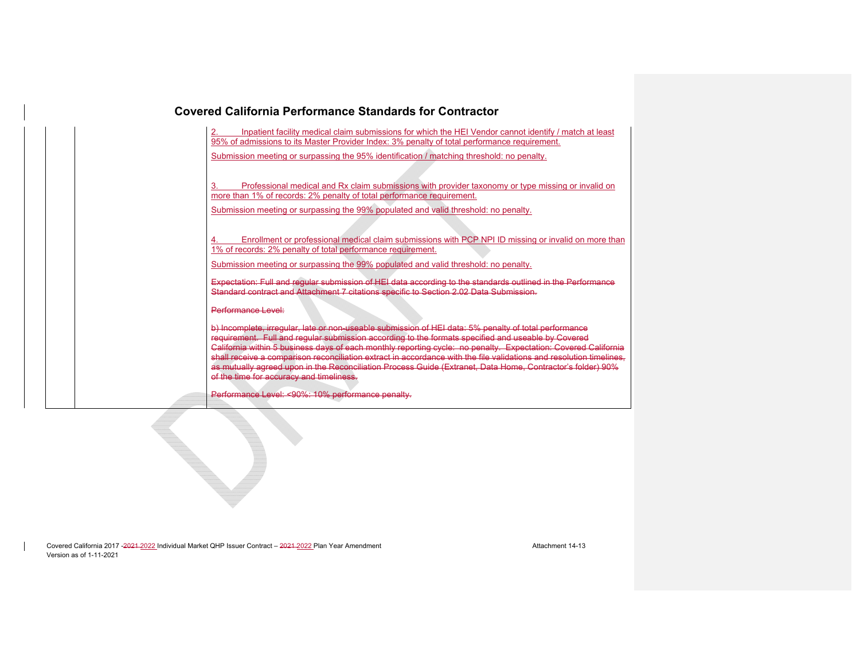| <b>Covered California Performance Standards for Contractor</b> |                                                                                                                                                                                                                                                                                                                                                                                                                                                                                                       |  |  |  |
|----------------------------------------------------------------|-------------------------------------------------------------------------------------------------------------------------------------------------------------------------------------------------------------------------------------------------------------------------------------------------------------------------------------------------------------------------------------------------------------------------------------------------------------------------------------------------------|--|--|--|
|                                                                | Inpatient facility medical claim submissions for which the HEI Vendor cannot identify / match at least<br>95% of admissions to its Master Provider Index: 3% penalty of total performance requirement.<br>Submission meeting or surpassing the 95% identification / matching threshold: no penalty.                                                                                                                                                                                                   |  |  |  |
|                                                                | Professional medical and Rx claim submissions with provider taxonomy or type missing or invalid on<br>3.<br>more than 1% of records: 2% penalty of total performance requirement.                                                                                                                                                                                                                                                                                                                     |  |  |  |
|                                                                | Submission meeting or surpassing the 99% populated and valid threshold: no penalty.<br>Enrollment or professional medical claim submissions with PCP NPI ID missing or invalid on more than<br>1% of records: 2% penalty of total performance requirement.                                                                                                                                                                                                                                            |  |  |  |
|                                                                | Submission meeting or surpassing the 99% populated and valid threshold: no penalty.<br>Expectation: Full and regular submission of HEI data according to the standards outlined in the Performance<br>Standard contract and Attachment 7 citations specific to Section 2.02 Data Submission.                                                                                                                                                                                                          |  |  |  |
|                                                                | Performance Level:<br>b) Incomplete, irregular, late or non-useable submission of HEI data: 5% penalty of total performance                                                                                                                                                                                                                                                                                                                                                                           |  |  |  |
|                                                                | requirement. Full and reqular submission according to the formats specified and useable by Covered<br>California within 5 business days of each monthly reporting cycle: no penalty. Expectation: Covered California<br>shall receive a comparison reconciliation extract in accordance with the file validations and resolution timelines.<br>as mutually agreed upon in the Reconciliation Process Guide (Extranet, Data Home, Contractor's folder) 90%<br>of the time for accuracy and timeliness. |  |  |  |
|                                                                | Performance Level: <90%: 10% performance penalty.                                                                                                                                                                                                                                                                                                                                                                                                                                                     |  |  |  |

Covered California 2017 -2021-2022 Individual Market QHP Issuer Contract – 2021-2022 Plan Year Amendment Amendment Attachment 14-13 Version as of 1-11-2021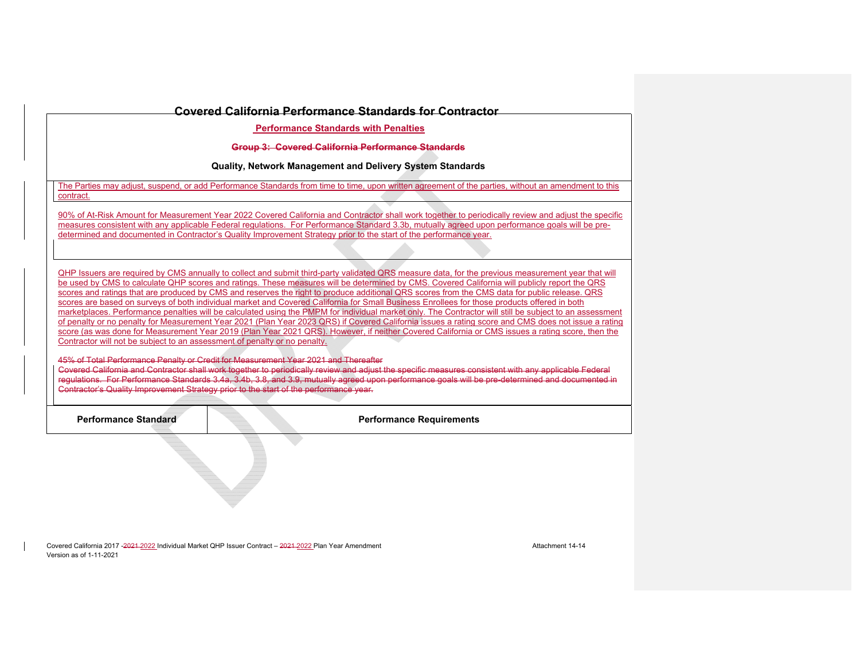**Performance Standards with Penalties** 

**Group 3: Covered California Performance Standards** 

**Quality, Network Management and Delivery System Standards** 

The Parties may adjust, suspend, or add Performance Standards from time to time, upon written agreement of the parties, without an amendment to this contract.

90% of At-Risk Amount for Measurement Year 2022 Covered California and Contractor shall work together to periodically review and adjust the specific measures consistent with any applicable Federal regulations. For Performance Standard 3.3b, mutually agreed upon performance goals will be predetermined and documented in Contractor's Quality Improvement Strategy prior to the start of the performance year.

QHP Issuers are required by CMS annually to collect and submit third-party validated QRS measure data, for the previous measurement year that will be used by CMS to calculate QHP scores and ratings. These measures will be determined by CMS. Covered California will publicly report the QRS scores and ratings that are produced by CMS and reserves the right to produce additional QRS scores from the CMS data for public release. QRS scores are based on surveys of both individual market and Covered California for Small Business Enrollees for those products offered in both marketplaces. Performance penalties will be calculated using the PMPM for individual market only. The Contractor will still be subject to an assessment of penalty or no penalty for Measurement Year 2021 (Plan Year 2023 QRS) if Covered California issues a rating score and CMS does not issue a rating score (as was done for Measurement Year 2019 (Plan Year 2021 QRS). However, if neither Covered California or CMS issues a rating score, then the Contractor will not be subject to an assessment of penalty or no penalty.

45% of Total Performance Penalty or Credit for Measurement Year 2021 and Thereafter Covered California and Contractor shall work together to periodically review and adjust the specific measures consistent with any applicable Federal regulations. For Performance Standards 3.4a, 3.4b, 3.8, and 3.9, mutually agreed upon performance goals will be pre-determined and documented in Contractor's Quality Improvement Strategy prior to the start of the performance year.

**Performance Standard Performance Requirements** 

Covered California 2017 -2021 -2022 Individual Market OHP Issuer Contract – 2021 -2022 Plan Year Amendment Amendment Version as of 1-11-2021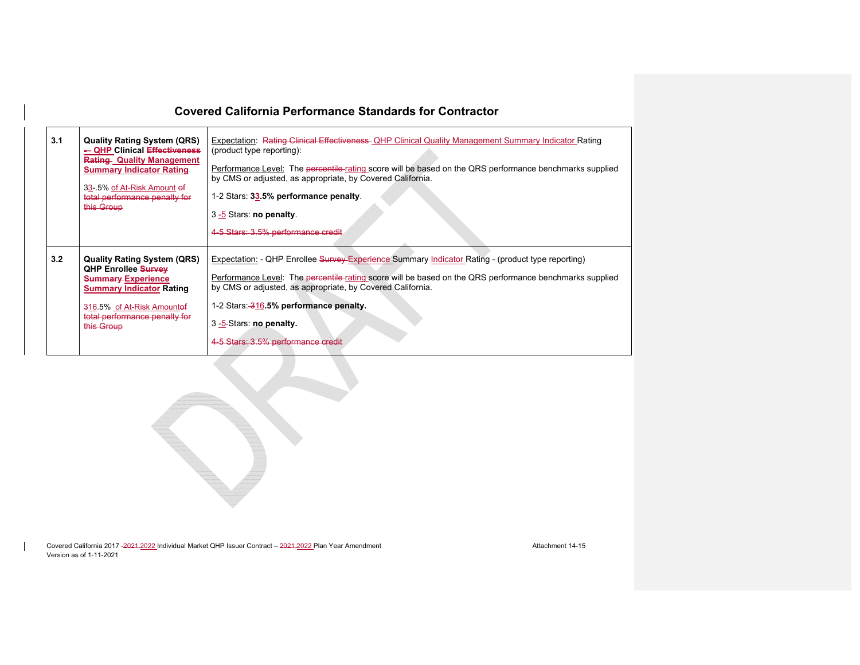| 3.1 | <b>Quality Rating System (QRS)</b><br>- QHP Clinical Effectiveness<br><b>Rating Quality Management</b><br><b>Summary Indicator Rating</b><br>33-5% of At-Risk Amount of<br>total performance penalty for<br>this Group | Expectation: Rating Clinical Effectiveness- OHP Clinical Quality Management Summary Indicator Rating<br>(product type reporting):<br>Performance Level: The percentile-rating score will be based on the QRS performance benchmarks supplied<br>by CMS or adjusted, as appropriate, by Covered California.<br>1-2 Stars: 33.5% performance penalty.<br>3-5 Stars: no penalty.<br>4-5 Stars: 3.5% performance credit |
|-----|------------------------------------------------------------------------------------------------------------------------------------------------------------------------------------------------------------------------|---------------------------------------------------------------------------------------------------------------------------------------------------------------------------------------------------------------------------------------------------------------------------------------------------------------------------------------------------------------------------------------------------------------------|
| 3.2 | <b>Quality Rating System (QRS)</b><br><b>QHP Enrollee Survey</b><br><b>Summary-Experience</b><br><b>Summary Indicator Rating</b><br>316.5% of At-Risk Amountof<br>total performance penalty for<br>this Group          | Expectation: - QHP Enrollee Survey-Experience Summary Indicator Rating - (product type reporting)<br>Performance Level: The percentile rating score will be based on the QRS performance benchmarks supplied<br>by CMS or adjusted, as appropriate, by Covered California.<br>1-2 Stars: 316.5% performance penalty.<br>3-5-Stars: no penalty.<br>4-5 Stars: 3.5% performance credit                                |

Covered California 2017 -2021-2022 Individual Market QHP Issuer Contract – 2021-2022 Plan Year Amendment Amendment Attachment 14-15 Version as of 1-11-2021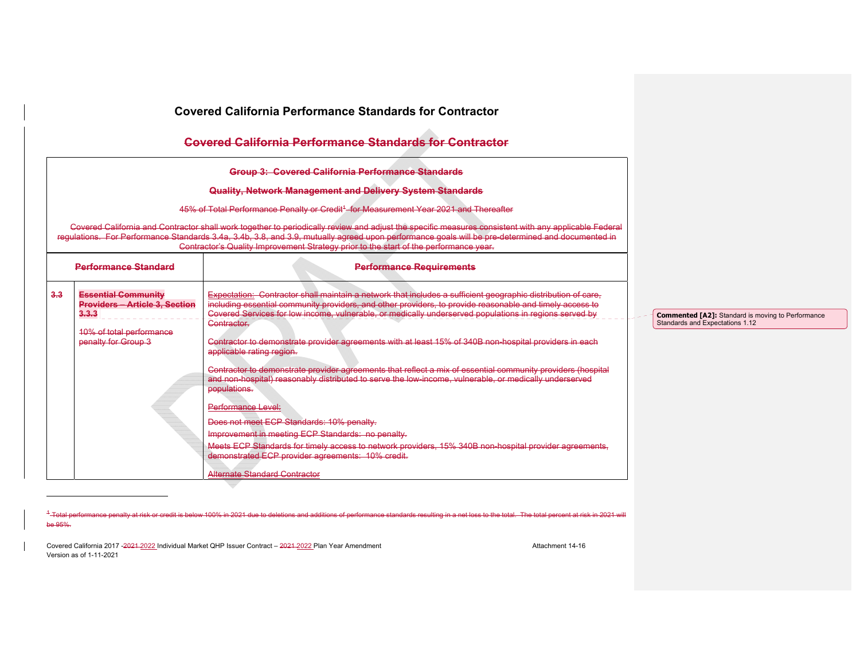|     |                                                                                                                                 | Covered California Performance Standards for Contractor                                                                                                                                                                                                                                                                                                                                                                                                                                                                                                                                                                                                                                                                                                                                                                                                                                                                                                                                                                                                          |                                                                                             |
|-----|---------------------------------------------------------------------------------------------------------------------------------|------------------------------------------------------------------------------------------------------------------------------------------------------------------------------------------------------------------------------------------------------------------------------------------------------------------------------------------------------------------------------------------------------------------------------------------------------------------------------------------------------------------------------------------------------------------------------------------------------------------------------------------------------------------------------------------------------------------------------------------------------------------------------------------------------------------------------------------------------------------------------------------------------------------------------------------------------------------------------------------------------------------------------------------------------------------|---------------------------------------------------------------------------------------------|
|     |                                                                                                                                 | <b>Covered California Performance Standards for Contractor</b>                                                                                                                                                                                                                                                                                                                                                                                                                                                                                                                                                                                                                                                                                                                                                                                                                                                                                                                                                                                                   |                                                                                             |
|     |                                                                                                                                 |                                                                                                                                                                                                                                                                                                                                                                                                                                                                                                                                                                                                                                                                                                                                                                                                                                                                                                                                                                                                                                                                  |                                                                                             |
|     |                                                                                                                                 | Quality, Network Management and Delivery System Standards<br>45% of Total Performance Penalty or Credit <sup>4</sup> for Measurement Year 2021 and Thereafter                                                                                                                                                                                                                                                                                                                                                                                                                                                                                                                                                                                                                                                                                                                                                                                                                                                                                                    |                                                                                             |
|     |                                                                                                                                 | Covered California and Contractor shall work together to periodically review and adjust the specific measures consistent with any applicable Federal<br>regulations. For Performance Standards 3.4a, 3.4b, 3.8, and 3.9, mutually agreed upon performance goals will be pre-determined and documented in<br>Contractor's Quality Improvement Strategy prior to the start of the performance year.                                                                                                                                                                                                                                                                                                                                                                                                                                                                                                                                                                                                                                                                |                                                                                             |
|     | <b>Performance Standard</b>                                                                                                     | <b>Performance Requirements</b>                                                                                                                                                                                                                                                                                                                                                                                                                                                                                                                                                                                                                                                                                                                                                                                                                                                                                                                                                                                                                                  |                                                                                             |
| 3.3 | <b>Essential Community</b><br><b>Providers - Article 3, Section</b><br>3.3.3<br>10% of total performance<br>penalty for Group 3 | Expectation: Contractor shall maintain a network that includes a sufficient geographic distribution of care.<br>including essential community providers, and other providers, to provide reasonable and timely access to<br>Covered Services for low income, vulnerable, or medically underserved populations in regions served by<br>Contractor.<br>Contractor to demonstrate provider agreements with at least 15% of 340B non-hospital providers in each<br>applicable rating region.<br>Contractor to demonstrate provider agreements that reflect a mix of essential community providers (hospital<br>and non-hospital) reasonably distributed to serve the low income, vulnerable, or medically underserved<br>populations.<br>Performance Level:<br>Does not meet ECP Standards: 10% penalty.<br>Improvement in meeting ECP Standards: no penalty.<br>Meets ECP Standards for timely access to network providers, 15% 340B non-hospital provider agreements,<br>demonstrated ECP provider agreements: 10% credit.<br><b>Alternate Standard Contractor</b> | <b>Commented [A2]:</b> Standard is moving to Performance<br>Standards and Expectations 1.12 |

<sup>1</sup>-Total performance penalty at risk or credit is below 100% in 2021 due to deletions and additions of performance standards resulting in a net loss to the total. The total percent at risk in 2021 will be 95%.

Covered California 2017 -2021 -2022 Individual Market QHP Issuer Contract – 2021-2022 Plan Year Amendment Amendment Attachment 14-16 Version as of 1-11-2021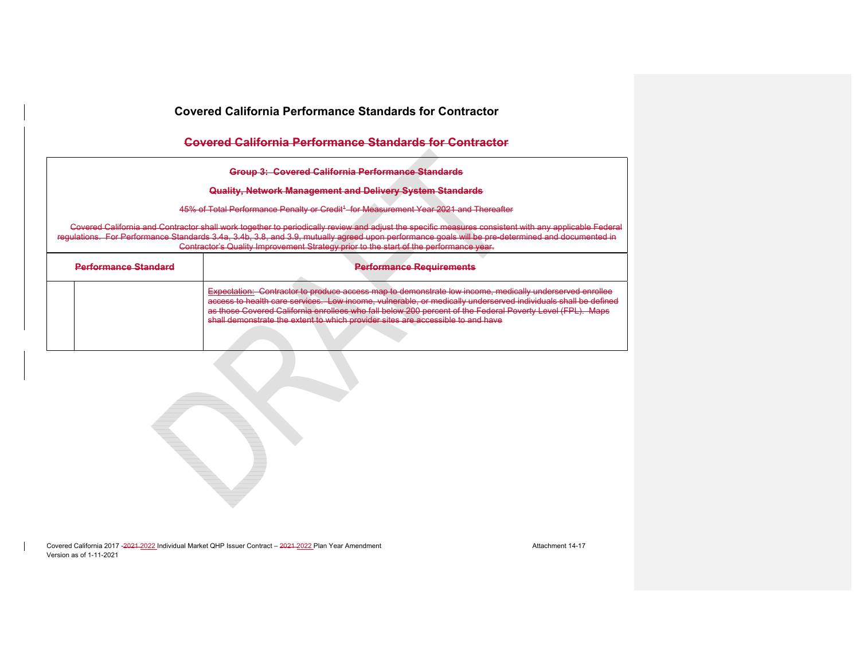## **Covered California Performance Standards for Contractor**

**Group 3: Covered California Performance Standards** 

#### **Quality, Network Management and Delivery System Standards**

45% of Total Performance Penalty or Credit<sup>4</sup> for Measurement Year 2021 and Thereafter

Covered California and Contractor shall work together to periodically review and adjust the specific measures consistent with any applicable Federal regulations. For Performance Standards 3.4a, 3.4b, 3.8, and 3.9, mutually agreed upon performance goals will be pre-determined and documented in Contractor's Quality Improvement Strategy prior to the start of the performance year.

| <b>Darformance Standard</b> | Darformanca Roquiramante<br><b>CHARLOT CONTRACTOR AND DESCRIPTION OF A SERIES OF A SERIES OF A SERIES OF A SERIES OF A SERIES OF A SERIES OF </b>                                                                                                                                                                                                                                                                        |
|-----------------------------|--------------------------------------------------------------------------------------------------------------------------------------------------------------------------------------------------------------------------------------------------------------------------------------------------------------------------------------------------------------------------------------------------------------------------|
|                             | Expectation: Contractor to produce access map to demonstrate low income, medically underserved enrollee<br>access to health care senvices. Low income willnerable, or medically underserved individuals shall be defined<br>as those Covered California enrollees who fall below 200 percent of the Federal Poverty Level (FPL). Maps<br>shall demonstrate the extent to which provider sites are accessible to and have |

Covered California 2017 -2024-2022 Individual Market QHP Issuer Contract – 2021-2022 Plan Year Amendment Amendment Version as of 1-11-2021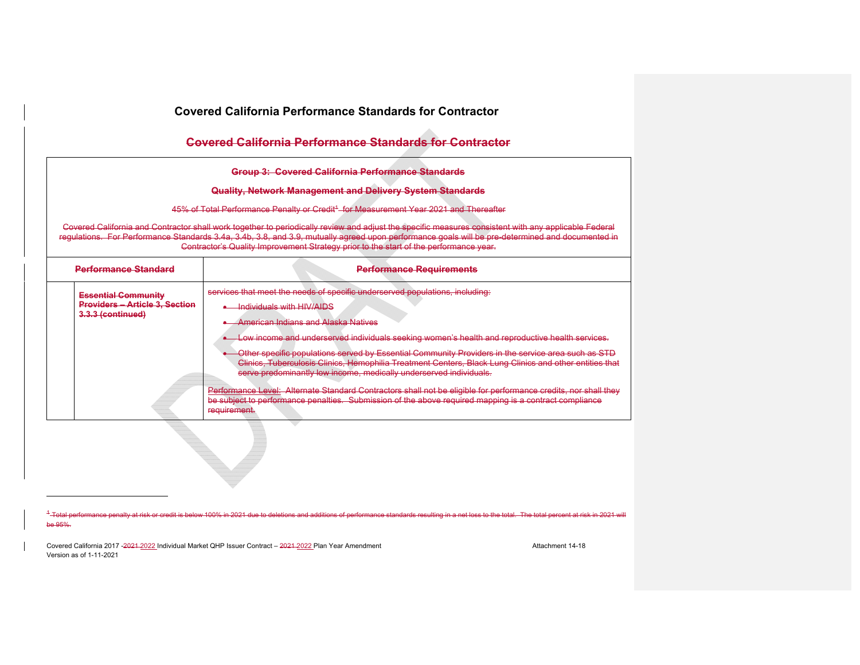| <b>Covered California Performance Standards for Contractor</b>                                                                                                                                                     |                                                                                                                                                                                                                                                                                                                                                                                                                                                                                                                                                                                                                                                                                                                                                                                                    |  |  |  |  |  |
|--------------------------------------------------------------------------------------------------------------------------------------------------------------------------------------------------------------------|----------------------------------------------------------------------------------------------------------------------------------------------------------------------------------------------------------------------------------------------------------------------------------------------------------------------------------------------------------------------------------------------------------------------------------------------------------------------------------------------------------------------------------------------------------------------------------------------------------------------------------------------------------------------------------------------------------------------------------------------------------------------------------------------------|--|--|--|--|--|
|                                                                                                                                                                                                                    | Covered California Performance Standards for Contractor                                                                                                                                                                                                                                                                                                                                                                                                                                                                                                                                                                                                                                                                                                                                            |  |  |  |  |  |
| Group 3: Covered California Performance Standards<br>Quality, Network Management and Delivery System Standards<br>45% of Total Performance Penalty or Credit <sup>4</sup> for Measurement Year 2021 and Thereafter |                                                                                                                                                                                                                                                                                                                                                                                                                                                                                                                                                                                                                                                                                                                                                                                                    |  |  |  |  |  |
|                                                                                                                                                                                                                    | Covered California and Contractor shall work together to periodically review and adjust the specific measures consistent with any applicable Federal<br>regulations. For Performance Standards 3.4a, 3.4b, 3.8, and 3.9, mutually agreed upon performance goals will be pre-determined and documented in<br>Contractor's Quality Improvement Strategy prior to the start of the performance year.                                                                                                                                                                                                                                                                                                                                                                                                  |  |  |  |  |  |
| <b>Performance Standard</b>                                                                                                                                                                                        | <b>Performance Requirements</b>                                                                                                                                                                                                                                                                                                                                                                                                                                                                                                                                                                                                                                                                                                                                                                    |  |  |  |  |  |
| <b>Essential Community</b><br><b>Providers - Article 3, Section</b><br>3.3.3 (continued)                                                                                                                           | services that meet the needs of specific underserved populations, including:<br>• Individuals with HIV/AIDS<br><b>American Indians and Alaska Natives</b><br>• Low income and underserved individuals seeking women's health and reproductive health services.<br>Other specific populations served by Essential Community Providers in the service area such as STD<br>Clinics. Tuberculosis Clinics, Hemophilia Treatment Centers, Black Lung Clinics and other entities that<br>serve predominantly low income, medically underserved individuals.<br>Performance Level: Alternate Standard Contractors shall not be eligible for performance credits, nor shall they<br>be subject to performance penalties. Submission of the above required mapping is a contract compliance<br>requirement. |  |  |  |  |  |
|                                                                                                                                                                                                                    |                                                                                                                                                                                                                                                                                                                                                                                                                                                                                                                                                                                                                                                                                                                                                                                                    |  |  |  |  |  |

<sup>1</sup>-Total performance penalty at risk or credit is below 100% in 2021 due to deletic ns of performance standards resulting in a net loss to the total. The total percent at risk in 2021 will be 95%.

Covered California 2017 -2021-2022 Individual Market QHP Issuer Contract – 2021-2022 Plan Year Amendment Amendment Attachment 14-18 Version as of 1-11-2021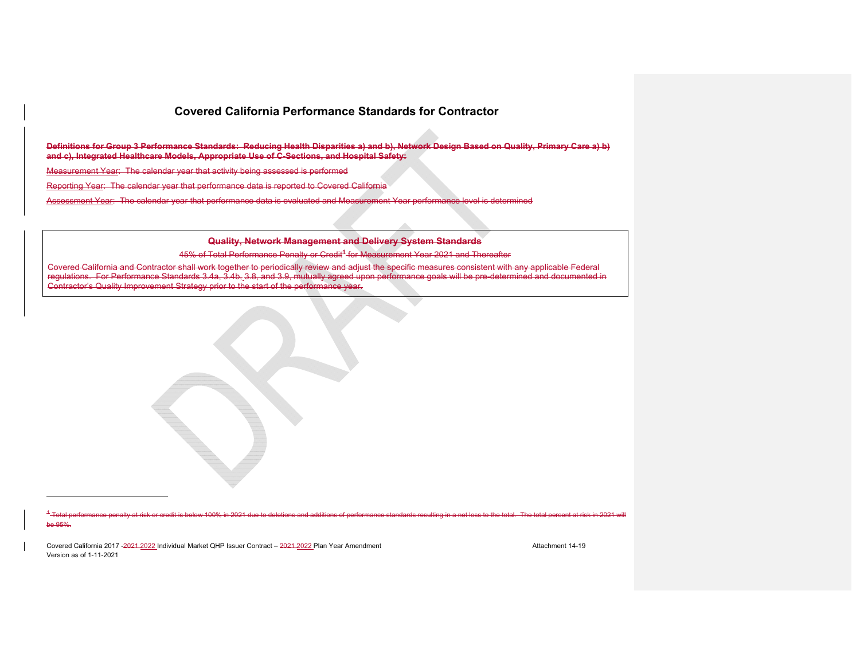**Definitions for Group 3 Performance Standards: Reducing Health Disparities a) and b), Network Design Based on Quality, Primary Care a) b) and c), Integrated Healthcare Models, Appropriate Use of C-Sections, and Hospital Safety:** 

Measurement Year: The calendar year that activity being assessed is performed

Reporting Year: The calendar year that performance data is reported to Covered California

Assessment Year: The calendar year that performance data is evaluated and Measurement Year performance level is determined

#### **Quality, Network Management and Delivery System Standards**

45% of Total Performance Penalty or Credit**<sup>1</sup>** for Measurement Year 2021 and Thereafter

Covered California and Contractor shall work together to periodically review and adjust the specific measures consistent with any applicable Federal regulations. For Performance Standards 3.4a, 3.4b, 3.8, and 3.9, mutually agreed upon performance goals will be pre-determined and documented in Contractor's Quality Improvement Strategy prior to the start of the performance year.

1 Total performance penalty at risk or credit is below 100% in 2021 due to deletions and additions of performance standards resulting in a net loss to the total. The total percent at risk in 2021 will be 95%.

Covered California 2017 -2024-2022 Individual Market QHP Issuer Contract – 2021-2022 Plan Year Amendment Amendment Version as of 1-11-2021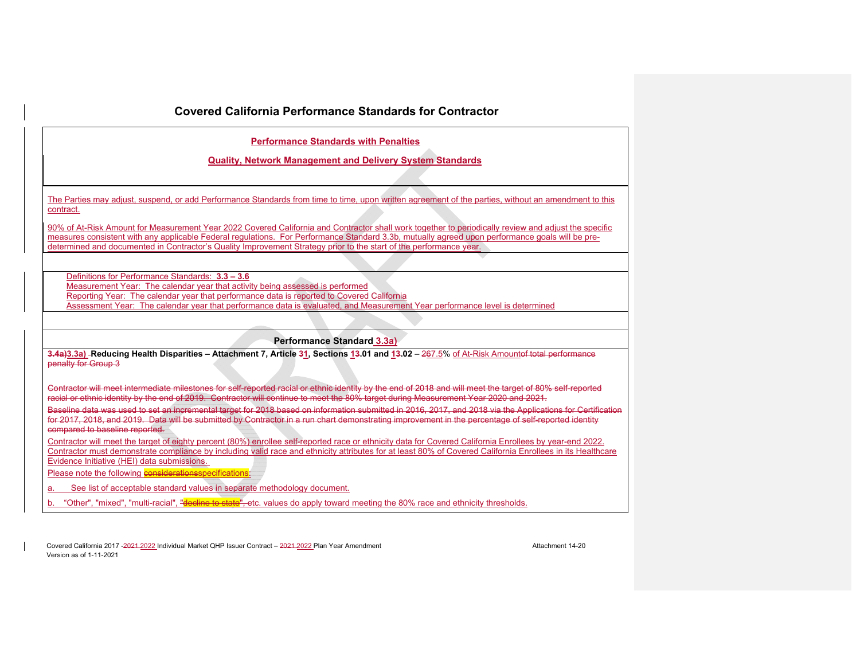#### **Performance Standards with Penalties**

**Quality, Network Management and Delivery System Standards** 

The Parties may adjust, suspend, or add Performance Standards from time to time, upon written agreement of the parties, without an amendment to this contract.

90% of At-Risk Amount for Measurement Year 2022 Covered California and Contractor shall work together to periodically review and adjust the specific measures consistent with any applicable Federal regulations. For Performance Standard 3.3b, mutually agreed upon performance goals will be predetermined and documented in Contractor's Quality Improvement Strategy prior to the start of the performance year.

Definitions for Performance Standards: **3.3 – 3.6** Measurement Year: The calendar year that activity being assessed is performed Reporting Year: The calendar year that performance data is reported to Covered California Assessment Year: The calendar year that performance data is evaluated, and Measurement Year performance level is determined

#### **Performance Standard 3.3a)**

3.4a)3.3a) -Reducing Health Disparities - Attachment 7, Article 31, Sections 13.01 and 13.02 - 267.5% of At-Risk Amounte<del>f total performance</del> penalty for Group 3

Contractor will meet intermediate milestones for self-reported racial or ethnic identity by the end of 2018 and will meet the target of 80% self-reported racial or ethnic identity by the end of 2019. Contractor will continue to meet the 80% target during Measurement Year 2020 and 2021.

Baseline data was used to set an incremental target for 2018 based on information submitted in 2016, 2017, and 2018 via the Applications for Certification for 2017, 2018, and 2019. Data will be submitted by Contractor in a run chart demonstrating improvement in the percentage of self-reported identity compared to baseline reported.

Contractor will meet the target of eighty percent (80%) enrollee self-reported race or ethnicity data for Covered California Enrollees by year-end 2022. Contractor must demonstrate compliance by including valid race and ethnicity attributes for at least 80% of Covered California Enrollees in its Healthcare Evidence Initiative (HEI) data submissions.

Please note the following **considerationsspecifications:** 

a. See list of acceptable standard values in separate methodology document.

b. "Other", "mixed", "multi-racial", "**decline to state**", etc. values do apply toward meeting the 80% race and ethnicity thresholds.

Covered California 2017 -<del>2021</del>-2022 Individual Market OHP Issuer Contract – 2021-2022 Plan Year Amendment Amendment Attachment 14-20 Version as of 1-11-2021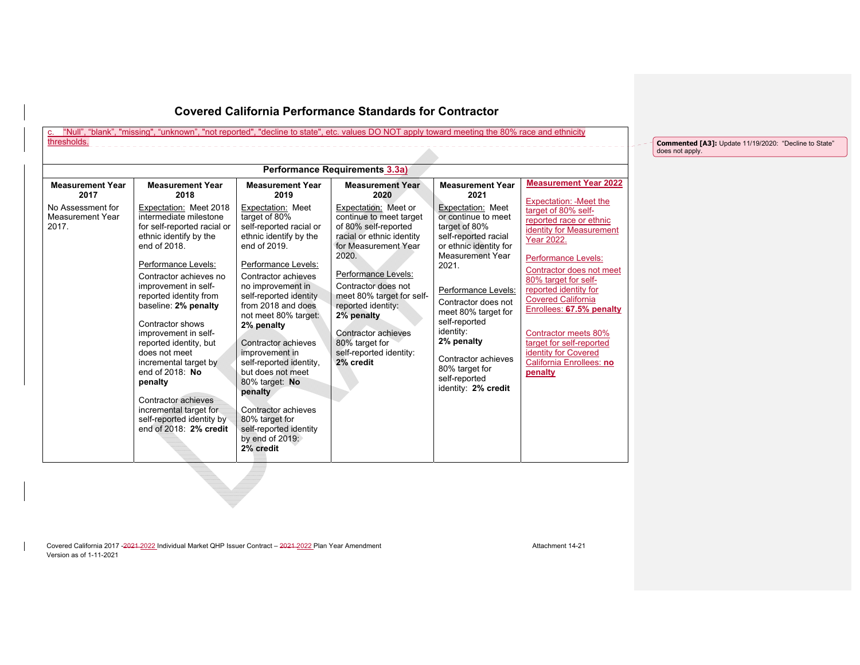# c. "Null", "blank", "missing", "unknown", "not reported", "decline to state", etc. values DO NOT apply toward meeting the 80% race and ethnicity<br>thresholds.

\_\_\_\_\_\_\_\_\_\_\_\_\_\_\_\_\_\_\_\_\_\_\_\_\_\_\_\_

|                                                                                                                                                                     |                                                                                                                                                                                                                                                                                                                                                                                                                                                                                                                                                                                                                                                                                                                                                                                                                                                                                                       | Performance Requirements 3.3a)                                                                                                                                                                                                                                                                                                                                           |                                                                                                                                                                                                                                                                                                                                                                               |                                                                                                                                                                                                                                                                                                                                                                                                                                            |
|---------------------------------------------------------------------------------------------------------------------------------------------------------------------|-------------------------------------------------------------------------------------------------------------------------------------------------------------------------------------------------------------------------------------------------------------------------------------------------------------------------------------------------------------------------------------------------------------------------------------------------------------------------------------------------------------------------------------------------------------------------------------------------------------------------------------------------------------------------------------------------------------------------------------------------------------------------------------------------------------------------------------------------------------------------------------------------------|--------------------------------------------------------------------------------------------------------------------------------------------------------------------------------------------------------------------------------------------------------------------------------------------------------------------------------------------------------------------------|-------------------------------------------------------------------------------------------------------------------------------------------------------------------------------------------------------------------------------------------------------------------------------------------------------------------------------------------------------------------------------|--------------------------------------------------------------------------------------------------------------------------------------------------------------------------------------------------------------------------------------------------------------------------------------------------------------------------------------------------------------------------------------------------------------------------------------------|
| <b>Measurement Year</b><br>2017<br>No Assessment for<br>Measurement Year<br>2017.<br>end of 2018<br>Contractor shows<br>does not meet<br>end of 2018: No<br>penalty | <b>Measurement Year</b><br><b>Measurement Year</b><br>2019<br>2018<br>Expectation: Meet 2018<br>Expectation: Meet<br>intermediate milestone<br>target of 80%<br>for self-reported racial or<br>self-reported racial or<br>ethnic identify by the<br>ethnic identify by the<br>end of 2019<br>Performance Levels:<br>Performance Levels:<br>Contractor achieves no<br>Contractor achieves<br>improvement in self-<br>no improvement in<br>reported identity from<br>self-reported identity<br>from 2018 and does<br>baseline: 2% penalty<br>not meet 80% target:<br>2% penalty<br>improvement in self-<br>Contractor achieves<br>reported identity, but<br>improvement in<br>incremental target by<br>self-reported identity,<br>but does not meet<br>80% target: No<br>penalty<br>Contractor achieves<br>Contractor achieves<br>incremental target for<br>self-reported identity by<br>80% target for | <b>Measurement Year</b><br>2020<br>Expectation: Meet or<br>continue to meet target<br>of 80% self-reported<br>racial or ethnic identity<br>for Measurement Year<br>2020.<br>Performance Levels:<br>Contractor does not<br>meet 80% target for self-<br>reported identity:<br>2% penalty<br>Contractor achieves<br>80% target for<br>self-reported identity:<br>2% credit | <b>Measurement Year</b><br>2021<br>Expectation: Meet<br>or continue to meet<br>target of 80%<br>self-reported racial<br>or ethnic identity for<br>Measurement Year<br>2021.<br>Performance Levels:<br>Contractor does not<br>meet 80% target for<br>self-reported<br>identity:<br>2% penalty<br>Contractor achieves<br>80% target for<br>self-reported<br>identity: 2% credit | <b>Measurement Year 2022</b><br>Expectation: - Meet the<br>target of 80% self-<br>reported race or ethnic<br><b>identity for Measurement</b><br>Year 2022.<br>Performance Levels:<br>Contractor does not meet<br>80% target for self-<br>reported identity for<br><b>Covered California</b><br>Enrollees: 67.5% penalty<br>Contractor meets 80%<br>target for self-reported<br>identity for Covered<br>California Enrollees: no<br>penalty |

Covered California 2017 -2021 -2022 Individual Market QHP Issuer Contract – 2021-2022 Plan Year Amendment Amendment Attachment 14-21 Version as of 1-11-2021

**Commented [A3]:** Update 11/19/2020: "Decline to State" does not apply.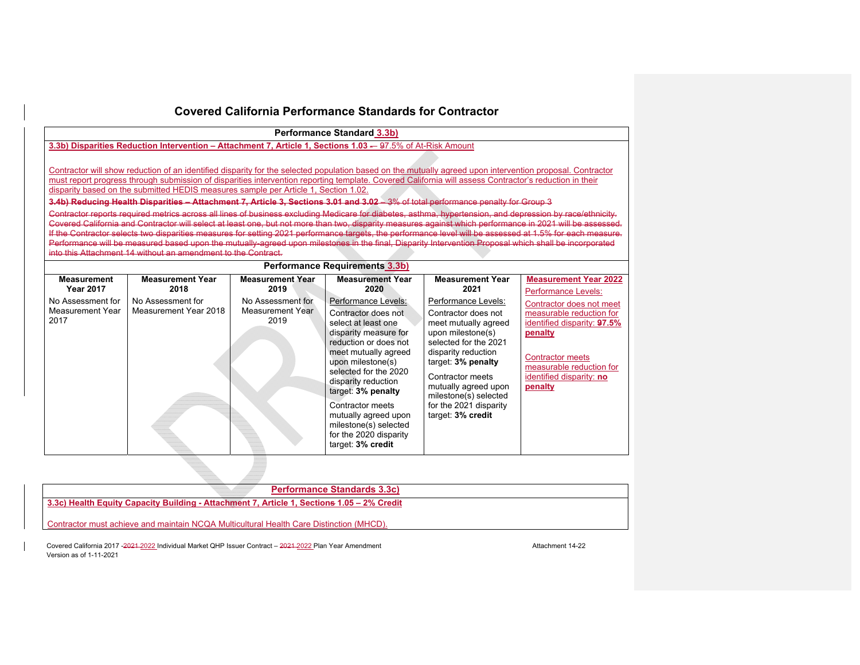|                                                                                                                                                                                                                                                                                                                                                                                                                                                                                                                                                                                                                                                                                                                                                                                                                                                                                                                                                                                                                                                                                                                                                                                                                                                                | <b>Performance Standard 3.3b)</b>                                                                           |                                                                                  |                                                                                                                                                                                                                                                                                                                                                                                               |                                                                                                                                                                                                                                                                                                                      |                                                                                                                                                                                                                                                     |  |
|----------------------------------------------------------------------------------------------------------------------------------------------------------------------------------------------------------------------------------------------------------------------------------------------------------------------------------------------------------------------------------------------------------------------------------------------------------------------------------------------------------------------------------------------------------------------------------------------------------------------------------------------------------------------------------------------------------------------------------------------------------------------------------------------------------------------------------------------------------------------------------------------------------------------------------------------------------------------------------------------------------------------------------------------------------------------------------------------------------------------------------------------------------------------------------------------------------------------------------------------------------------|-------------------------------------------------------------------------------------------------------------|----------------------------------------------------------------------------------|-----------------------------------------------------------------------------------------------------------------------------------------------------------------------------------------------------------------------------------------------------------------------------------------------------------------------------------------------------------------------------------------------|----------------------------------------------------------------------------------------------------------------------------------------------------------------------------------------------------------------------------------------------------------------------------------------------------------------------|-----------------------------------------------------------------------------------------------------------------------------------------------------------------------------------------------------------------------------------------------------|--|
|                                                                                                                                                                                                                                                                                                                                                                                                                                                                                                                                                                                                                                                                                                                                                                                                                                                                                                                                                                                                                                                                                                                                                                                                                                                                | 3.3b) Disparities Reduction Intervention - Attachment 7, Article 1, Sections 1.03 - 97.5% of At-Risk Amount |                                                                                  |                                                                                                                                                                                                                                                                                                                                                                                               |                                                                                                                                                                                                                                                                                                                      |                                                                                                                                                                                                                                                     |  |
| Contractor will show reduction of an identified disparity for the selected population based on the mutually agreed upon intervention proposal. Contractor<br>must report progress through submission of disparities intervention reporting template. Covered California will assess Contractor's reduction in their<br>disparity based on the submitted HEDIS measures sample per Article 1, Section 1.02.<br>3.4b) Reducing Health Disparities - Attachment 7, Article 3, Sections 3.01 and 3.02 3% of total performance penalty for Group 3<br>Contractor reports required metrics across all lines of business excluding Medicare for diabetes, asthma, hypertension, and depression by race/ethnicity.<br>Covered California and Contractor will select at least one, but not more than two, disparity measures against which performance in 2021 will be assessed.<br>If the Contractor selects two disparities measures for setting 2021 performance targets, the performance level will be assessed at 1.5% for each measure.<br>Performance will be measured based upon the mutually-agreed upon milestones in the final, Disparity Intervention Proposal which shall be incorporated<br>into this Attachment 14 without an amendment to the Contract. |                                                                                                             |                                                                                  |                                                                                                                                                                                                                                                                                                                                                                                               |                                                                                                                                                                                                                                                                                                                      |                                                                                                                                                                                                                                                     |  |
|                                                                                                                                                                                                                                                                                                                                                                                                                                                                                                                                                                                                                                                                                                                                                                                                                                                                                                                                                                                                                                                                                                                                                                                                                                                                |                                                                                                             |                                                                                  | <b>Performance Requirements 3.3b)</b>                                                                                                                                                                                                                                                                                                                                                         |                                                                                                                                                                                                                                                                                                                      |                                                                                                                                                                                                                                                     |  |
| <b>Measurement</b><br><b>Year 2017</b><br>No Assessment for<br><b>Measurement Year</b><br>2017                                                                                                                                                                                                                                                                                                                                                                                                                                                                                                                                                                                                                                                                                                                                                                                                                                                                                                                                                                                                                                                                                                                                                                 | <b>Measurement Year</b><br>2018<br>No Assessment for<br>Measurement Year 2018                               | <b>Measurement Year</b><br>2019<br>No Assessment for<br>Measurement Year<br>2019 | <b>Measurement Year</b><br>2020<br>Performance Levels:<br>Contractor does not<br>select at least one<br>disparity measure for<br>reduction or does not<br>meet mutually agreed<br>upon milestone(s)<br>selected for the 2020<br>disparity reduction<br>target: 3% penalty<br>Contractor meets<br>mutually agreed upon<br>milestone(s) selected<br>for the 2020 disparity<br>target: 3% credit | <b>Measurement Year</b><br>2021<br>Performance Levels:<br>Contractor does not<br>meet mutually agreed<br>upon milestone(s)<br>selected for the 2021<br>disparity reduction<br>target: 3% penalty<br>Contractor meets<br>mutually agreed upon<br>milestone(s) selected<br>for the 2021 disparity<br>target: 3% credit | <b>Measurement Year 2022</b><br>Performance Levels:<br>Contractor does not meet<br>measurable reduction for<br>identified disparity: 97.5%<br>penalty<br><b>Contractor meets</b><br>measurable reduction for<br>identified disparity: no<br>penalty |  |

| <b>Performance Standards 3.3c)</b>                                                         |
|--------------------------------------------------------------------------------------------|
| 3.3c) Health Equity Capacity Building - Attachment 7, Article 1, Sections 1.05 - 2% Credit |
| Contractor must achieve and maintain NCQA Multicultural Health Care Distinction (MHCD).    |

Covered California 2017 -2021 -2022 Individual Market QHP Issuer Contract – 2021-2022 Plan Year Amendment Amendment Attachment 14-22 Version as of 1-11-2021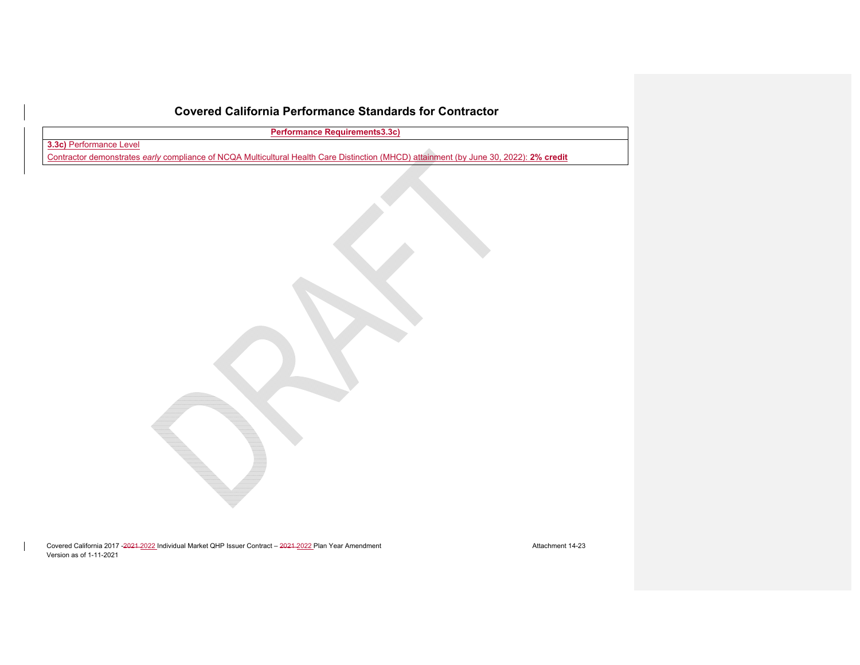**Performance Requirements3.3c)** 

**3.3c)** Performance Level

Contractor demonstrates *early* compliance of NCQA Multicultural Health Care Distinction (MHCD) attainment (by June 30, 2022): **2% credit**

Covered California 2017 -2021 -2022 Individual Market QHP Issuer Contract – 2021-2022 Plan Year Amendment Amendment Attachment 14-23 Version as of 1-11-2021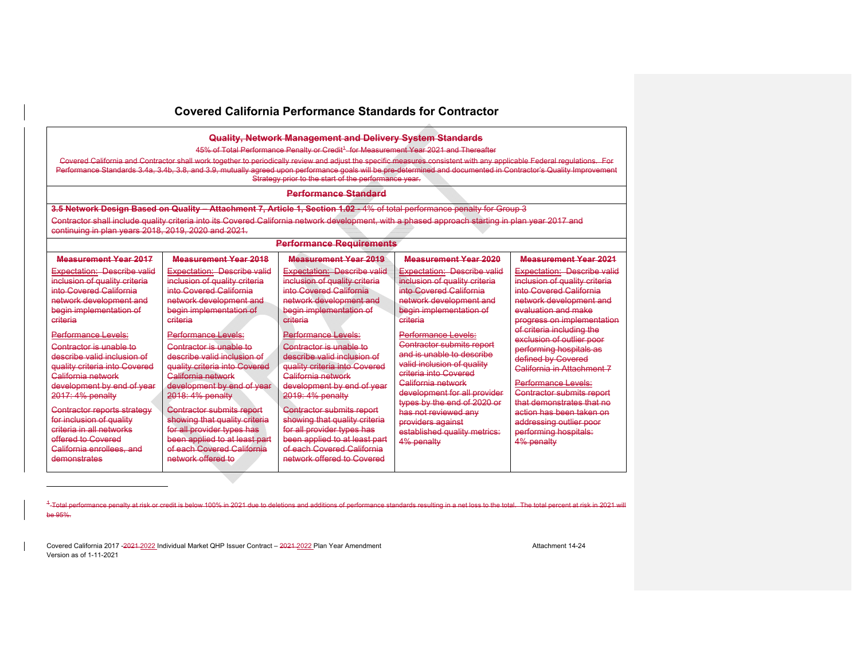| Quality, Network Management and Delivery System Standards                                                                                                                                                                                                                                           |                                                                                                                                                                                                                                                                                                                                                                                                                                                                                                        |                                                                                                                                                                                                                                                                                                                            |                                                                                                                                                                                                                                                                                                                      |                                                                                                                                                                                                                                                                                                                             |  |  |  |
|-----------------------------------------------------------------------------------------------------------------------------------------------------------------------------------------------------------------------------------------------------------------------------------------------------|--------------------------------------------------------------------------------------------------------------------------------------------------------------------------------------------------------------------------------------------------------------------------------------------------------------------------------------------------------------------------------------------------------------------------------------------------------------------------------------------------------|----------------------------------------------------------------------------------------------------------------------------------------------------------------------------------------------------------------------------------------------------------------------------------------------------------------------------|----------------------------------------------------------------------------------------------------------------------------------------------------------------------------------------------------------------------------------------------------------------------------------------------------------------------|-----------------------------------------------------------------------------------------------------------------------------------------------------------------------------------------------------------------------------------------------------------------------------------------------------------------------------|--|--|--|
|                                                                                                                                                                                                                                                                                                     | 45% of Total Performance Penalty or Credit <sup>+</sup> -for Measurement Year 2021 and Thereafter<br>Covered California and Contractor shall work together to periodically review and adjust the specific measures consistent with any applicable Federal requlations. For<br>Performance Standards 3.4a, 3.4b, 3.8, and 3.9, mutually agreed upon performance goals will be pre-determined and documented in Contractor's Quality Improvement<br>Strategy prior to the start of the performance year. |                                                                                                                                                                                                                                                                                                                            |                                                                                                                                                                                                                                                                                                                      |                                                                                                                                                                                                                                                                                                                             |  |  |  |
|                                                                                                                                                                                                                                                                                                     |                                                                                                                                                                                                                                                                                                                                                                                                                                                                                                        | <b>Performance Standard</b>                                                                                                                                                                                                                                                                                                |                                                                                                                                                                                                                                                                                                                      |                                                                                                                                                                                                                                                                                                                             |  |  |  |
|                                                                                                                                                                                                                                                                                                     |                                                                                                                                                                                                                                                                                                                                                                                                                                                                                                        | 3.5 Network Design Based on Quality - Attachment 7, Article 1, Section 1.02 - 4% of total performance penalty for Group 3                                                                                                                                                                                                  |                                                                                                                                                                                                                                                                                                                      |                                                                                                                                                                                                                                                                                                                             |  |  |  |
| continuing in plan years 2018, 2019, 2020 and 2021.                                                                                                                                                                                                                                                 |                                                                                                                                                                                                                                                                                                                                                                                                                                                                                                        | Contractor shall include quality criteria into its Covered California network development, with a phased approach starting in plan year 2017 and                                                                                                                                                                           |                                                                                                                                                                                                                                                                                                                      |                                                                                                                                                                                                                                                                                                                             |  |  |  |
|                                                                                                                                                                                                                                                                                                     |                                                                                                                                                                                                                                                                                                                                                                                                                                                                                                        | <b>Performance Requirements</b>                                                                                                                                                                                                                                                                                            |                                                                                                                                                                                                                                                                                                                      |                                                                                                                                                                                                                                                                                                                             |  |  |  |
| <b>Measurement Year 2017</b>                                                                                                                                                                                                                                                                        | <b>Measurement Year 2018</b>                                                                                                                                                                                                                                                                                                                                                                                                                                                                           | <b>Measurement Year 2019</b>                                                                                                                                                                                                                                                                                               | <b>Measurement Year 2020</b>                                                                                                                                                                                                                                                                                         | <b>Measurement Year 2021</b>                                                                                                                                                                                                                                                                                                |  |  |  |
| <b>Expectation: Describe valid</b><br>inclusion of quality criteria<br>into Covered California<br>network development and<br>begin implementation of<br>criteria                                                                                                                                    | <b>Expectation: Describe valid</b><br>inclusion of quality criteria<br>into Covered California<br>network development and<br>begin implementation of<br>criteria                                                                                                                                                                                                                                                                                                                                       | <b>Expectation: Describe valid</b><br>inclusion of quality criteria<br>into Covered California<br>network development and<br>begin implementation of<br>criteria                                                                                                                                                           | <b>Expectation: Describe valid</b><br>inclusion of quality criteria<br>into Covered California<br>network development and<br>begin implementation of<br>criteria                                                                                                                                                     | <b>Expectation: Describe valid</b><br>inclusion of quality criteria<br>into Covered California<br>network development and<br>evaluation and make<br>progress on implementation                                                                                                                                              |  |  |  |
| Performance Levels:<br>Contractor is unable to<br>describe valid inclusion of<br>quality criteria into Covered<br>California network<br>development by end of year<br>2017: 4% penalty<br>Contractor reports strategy<br>for inclusion of quality<br>criteria in all networks<br>offered to Covered | <b>Performance Levels:</b><br>Contractor is unable to<br>describe valid inclusion of<br>quality criteria into Covered<br>California network<br>development by end of year<br>2018: 4% penalty<br>Contractor submits report<br>showing that quality criteria<br>for all provider types has<br>been applied to at least part                                                                                                                                                                             | <b>Performance Levels:</b><br>Contractor is unable to<br>describe valid inclusion of<br>quality criteria into Covered<br>California network<br>development by end of year<br>2019: 4% penalty<br>Contractor submits report<br>showing that quality criteria<br>for all provider types has<br>been applied to at least part | Performance Levels:<br>Contractor submits report<br>and is unable to describe<br>valid inclusion of quality<br>criteria into Covered<br>California network<br>development for all provider<br>types by the end of 2020 or<br>has not reviewed any<br>providers against<br>established quality metrics:<br>4% penalty | of criteria including the<br>exclusion of outlier poor<br>performing hospitals as<br>defined by Covered<br>California in Attachment 7<br><b>Performance Levels:</b><br>Contractor submits report<br>that demonstrates that no<br>action has been taken on<br>addressing outlier poor<br>performing hospitals:<br>4% penalty |  |  |  |
| California enrollees, and<br>demonstrates                                                                                                                                                                                                                                                           | of each Covered California<br>network offered to                                                                                                                                                                                                                                                                                                                                                                                                                                                       | of each Covered California<br>network offered to Covered                                                                                                                                                                                                                                                                   |                                                                                                                                                                                                                                                                                                                      |                                                                                                                                                                                                                                                                                                                             |  |  |  |

<sup>4</sup>-Total performance penalty at risk or credit is below 100% in 2021 due to deletions and additions of performance standards resulting in a net loss to the total. The total percent at risk in 2021 will be 95%.

Covered California 2017 -2021 -2022 Individual Market QHP Issuer Contract – 2021-2022 Plan Year Amendment Amendment Attachment 14-24 Version as of 1-11-2021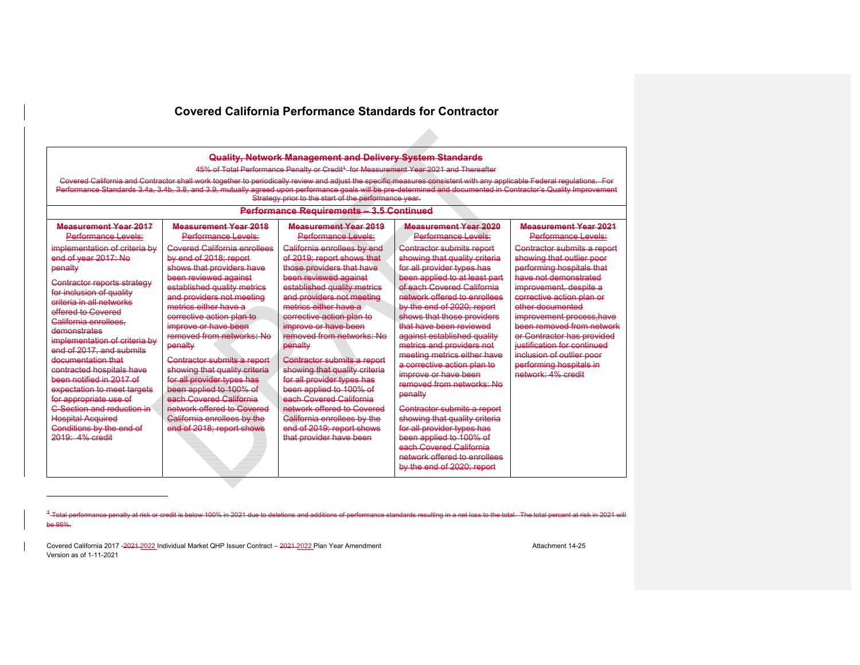$\Delta \omega$ 

| Quality, Network Management and Delivery System Standards<br>45% of Total Performance Penalty or Credit <sup>4</sup> for Measurement Year 2021 and Thereafter<br>Covered California and Contractor shall work together to periodically review and adjust the specific measures consistent with any applicable Federal requlations. For<br>Performance Standards 3.4a, 3.4b, 3.8, and 3.9, mutually agreed upon performance goals will be pre-determined and documented in Contractor's Quality Improvement<br>Strategy prior to the start of the performance year.<br>Performance Requirements - 3.5 Continued |                                                                                                                                                                                                                                                                                                                                                                                                                                                                                                                                                     |                                                                                                                                                                                                                                                                                                                                                                                                                                                                                                                                                                            |                                                                                                                                                                                                                                                                                                                                                                                                                                                                                                                                                                                                                                                                                                   |                                                                                                                                                                                                                                                                                                                                                                                                |  |  |
|----------------------------------------------------------------------------------------------------------------------------------------------------------------------------------------------------------------------------------------------------------------------------------------------------------------------------------------------------------------------------------------------------------------------------------------------------------------------------------------------------------------------------------------------------------------------------------------------------------------|-----------------------------------------------------------------------------------------------------------------------------------------------------------------------------------------------------------------------------------------------------------------------------------------------------------------------------------------------------------------------------------------------------------------------------------------------------------------------------------------------------------------------------------------------------|----------------------------------------------------------------------------------------------------------------------------------------------------------------------------------------------------------------------------------------------------------------------------------------------------------------------------------------------------------------------------------------------------------------------------------------------------------------------------------------------------------------------------------------------------------------------------|---------------------------------------------------------------------------------------------------------------------------------------------------------------------------------------------------------------------------------------------------------------------------------------------------------------------------------------------------------------------------------------------------------------------------------------------------------------------------------------------------------------------------------------------------------------------------------------------------------------------------------------------------------------------------------------------------|------------------------------------------------------------------------------------------------------------------------------------------------------------------------------------------------------------------------------------------------------------------------------------------------------------------------------------------------------------------------------------------------|--|--|
| Moasuromont Yoar 2017<br>Performance Levels:                                                                                                                                                                                                                                                                                                                                                                                                                                                                                                                                                                   | Moasuromont Yoar 2018<br>Performance Levels:                                                                                                                                                                                                                                                                                                                                                                                                                                                                                                        | Moasuromont Yoar 2019<br>Performance Levels:                                                                                                                                                                                                                                                                                                                                                                                                                                                                                                                               | Moasuromont Yoar 2020<br>Performance Levels:                                                                                                                                                                                                                                                                                                                                                                                                                                                                                                                                                                                                                                                      | Measurement Year 2021<br>Performance Levels:                                                                                                                                                                                                                                                                                                                                                   |  |  |
| implementation of criteria by<br>end of year 2017: No<br>penalty<br>Contractor reports strategy<br>for inclusion of quality<br>criteria in all networks<br>offered to Covered<br>California enrollees.<br>demonstrates<br>implementation of criteria by<br>end of 2017, and submits<br>documentation that<br>contracted hospitals have<br>been notified in 2017 of<br>expectation to meet targets<br>for appropriate use of<br>C-Section and reduction in<br><b>Hospital Acquired</b><br>Conditions by the end of<br>$2019: 4%$ credit                                                                         | <b>Covered California enrollees</b><br>by end of 2018: report<br>shows that providers have<br>been reviewed against<br>established quality metrics<br>and providers not meeting<br>metrics either have a<br>corrective action plan to<br>improve or have been<br>removed from networks: No<br>penalty<br>Contractor submits a report<br>showing that quality criteria<br>for all provider types has<br>been applied to 100% of<br>each Covered California<br>network offered to Covered<br>California enrollees by the<br>end of 2018: report shows | California enrollees by end<br>of 2019; report shows that<br>those providers that have<br>been reviewed against<br>established quality metrics<br>and providers not meeting<br>metrics either have a<br>corrective action plan to<br>improve or have been<br>removed from networks: No<br>penalty<br>Contractor submits a report<br>showing that quality criteria<br>for all provider types has<br>been applied to 100% of<br>each Covered California<br>network offered to Covered<br>California enrollees by the<br>end of 2019; report shows<br>that provider have been | <b>Contractor submits report</b><br>showing that quality criteria<br>for all provider types has<br>been applied to at least part<br>of each Covered California<br>network offered to enrollees<br>by the end of 2020: report<br>shows that those providers<br>that have been reviewed<br>against established quality<br>metrics and providers not<br>meeting metrics either have<br>a corrective action plan to<br>improve or have been<br>removed from networks: No<br>penalty<br>Contractor submits a report<br>showing that quality criteria<br>for all provider types has<br>been applied to 100% of<br>each Covered California<br>petwork offered to enrollees<br>by the end of 2020; report | Contractor submits a report<br>showing that outlier poor<br>performing hospitals that<br>have not demonstrated<br>improvement, despite a<br>corrective action plan or<br>other documented<br>improvement process, have<br>been removed from network<br>er Contractor has provided<br>justification for continued<br>inclusion of outlier poor<br>performing hospitals in<br>network: 4% credit |  |  |

<sup>1</sup>-Total performance penalty at risk or credit is below 100% in 2021 due to deletions and additions of performance standards resulting in a net loss to the total. The total percent at risk in 2021 will be 95%.

Covered California 2017 -2021 -2022 Individual Market QHP Issuer Contract – 2021-2022 Plan Year Amendment Amendment Attachment 14-25 Version as of 1-11-2021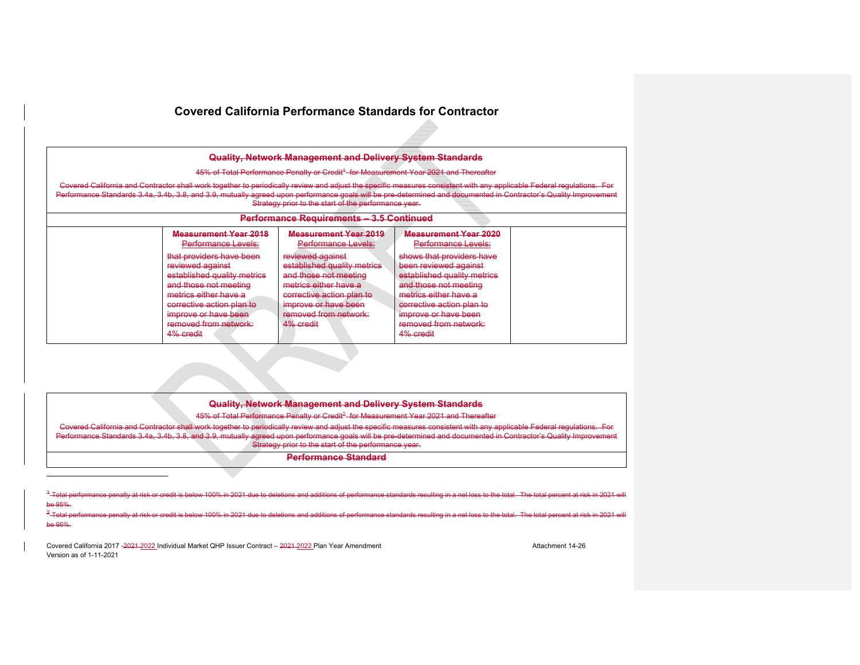|                                                                                                                                                                                                                                                                                                                                           | Quality, Network Management and Delivery System Standards                                                                                                                                                                                           |                                                                                                                                                                                                                                                                                       |  |  |  |
|-------------------------------------------------------------------------------------------------------------------------------------------------------------------------------------------------------------------------------------------------------------------------------------------------------------------------------------------|-----------------------------------------------------------------------------------------------------------------------------------------------------------------------------------------------------------------------------------------------------|---------------------------------------------------------------------------------------------------------------------------------------------------------------------------------------------------------------------------------------------------------------------------------------|--|--|--|
| 45% of Total Performance Penalty or Credit <sup>4</sup> for Measurement Year 2021 and Thereafter                                                                                                                                                                                                                                          |                                                                                                                                                                                                                                                     |                                                                                                                                                                                                                                                                                       |  |  |  |
| Covered California and Contractor shall work together to periodically review and adjust the specific measures consistent with any applicable Federal requlations. For<br>Performance Standards 3.4a, 3.4b, 3.8, and 3.9, mutually agreed upon performance goals will be pre-determined and documented in Contractor's Quality Improvement | Strategy prior to the start of the performance year.                                                                                                                                                                                                |                                                                                                                                                                                                                                                                                       |  |  |  |
|                                                                                                                                                                                                                                                                                                                                           | Performance Requirements - 3.5 Continued                                                                                                                                                                                                            |                                                                                                                                                                                                                                                                                       |  |  |  |
| <b>Measurement Year 2018</b><br>Performance Levels:<br>that providers have been<br>reviewed against<br>established quality metrics<br>and those not meeting<br>metrics either have a<br>corrective action plan to<br>improve or have been<br>removed from network:<br>4% credit                                                           | <b>Measurement Year 2019</b><br>Performance Levels:<br>reviewed against<br>established quality metrics<br>and those not meeting<br>metrics either have a<br>corrective action plan to<br>improve or have been<br>removed from network:<br>4% credit | <b>Measurement Year 2020</b><br>Performance Levels:<br>shows that providers have<br>been reviewed against<br>established quality metrics<br>and those not meeting<br>metrics either have a<br>corrective action plan to<br>improve or have been<br>removed from network:<br>4% credit |  |  |  |

## **Quality, Network Management and Delivery System Standards**

45% of Total Performance Penalty or Credit<sup>2</sup> for Measurement Year 2021 and Thereafter

Covered California and Contractor shall work together to periodically review and adjust the specific measures consistent with any applicable Federal regulations. For Performance Standards 3.4a, 3.4b, 3.8, and 3.9, mutually agreed upon performance goals will be pre-determined and documented in Contractor's Quality Improvement Strategy prior to the start of the performance year.

#### **Performance Standard**

 $4 - Total$  Total performance penalty at risk or credit is below 100% in 2021 due to deletions and additions of performance standards resulting in a net loss to the total. The total percent at risk in 2021 will  $b = 95%$ 

 $2$ -Total pe and additions of performance standards resulting in a net loss to the total. The total percent at risk in be 95%.

Covered California 2017 -2021 2022 Individual Market QHP Issuer Contract – 2021-2022 Plan Year Amendment Amendment Attachment 14-26 Version as of 1-11-2021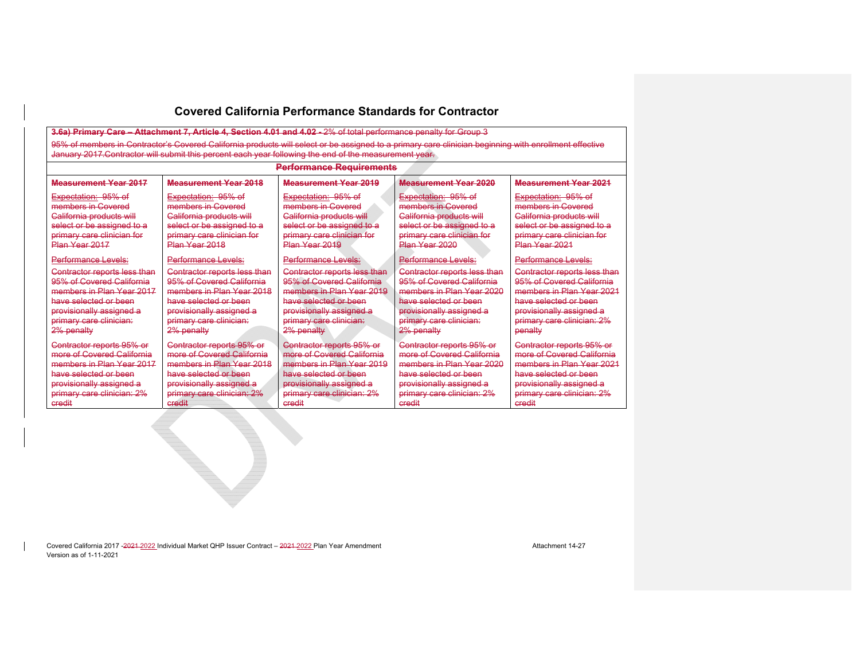**3.6a) Primary Care – Attachment 7, Article 4, Section 4.01 and 4.02 -** 2% of total performance penalty for Group 3 95% of members in Contractor's Covered California products will select or be assigned to a primary care clinician beginning with enrollment effective January 2017.Contractor will submit this percent each year following the end of the measurement year.

#### **Performance Requirements**

#### **Measurement Year 2017**Expectation: 95% of members in Covered California products will select or be assigned to a primary care clinician for Plan Year 2017 Performance Levels: Contractor reports less than 95% of Covered California members in Plan Year 2017 have selected or been provisionally assigned a primary care clinician: 2% penalty Contractor reports 95% or more of Covered California members in Plan Year 2017 have selected or been provisionally assigned a primary care clinician: 2% credit**Measurement Year 2018** Expectation: 95% of members in Covered California products will select or be assigned to a primary care clinician for Plan Year 2018 Performance Levels: Contractor reports less than 95% of Covered California members in Plan Year 2018 have selected or been provisionally assigned a primary care clinician: 2% penalty Contractor reports 95% or more of Covered California members in Plan Year 2018 have selected or been provisionally assigned a primary care clinician: 2% credit**Measurement Year 2019** Expectation: 95% of members in Covered California products will select or be assigned to a primary care clinician for Plan Year 2019 Performance Levels: Contractor reports less than 95% of Covered California members in Plan Year 2019 have selected or been provisionally assigned a primary care clinician: 2% penalty Contractor reports 95% or more of Covered California members in Plan Year 2019 have selected or been provisionally assigned a primary care clinician: 2% credit **Measurement Year 2020** Expectation: 95% of members in Covered California products will select or be assigned to a primary care clinician for .<br><del>Plan Year 2020</del> Performance Levels: Contractor reports less than 95% of Covered California members in Plan Year 2020 have selected or been provisionally assigned a primary care clinician: 2% penalty Contractor reports 95% or more of Covered California members in Plan Year 2020 have selected or been provisionally assigned a primary care clinician: 2% credit**Measurement Year 2021** Expectation: 95% of members in Covered California products will select or be assigned to a primary care clinician for .<br>Plan Year 2021 Performance Levels: Contractor reports less than 95% of Covered California members in Plan Year 2021 have selected or been provisionally assigned a primary care clinician: 2% penalty Contractor reports 95% or more of Covered California members in Plan Year 2021 have selected or been provisionally assigned a primary care clinician: 2% credit

Covered California 2017 -2021 -2022 Individual Market OHP Issuer Contract – 2021-2022 Plan Year Amendment Amendment Version as of 1-11-2021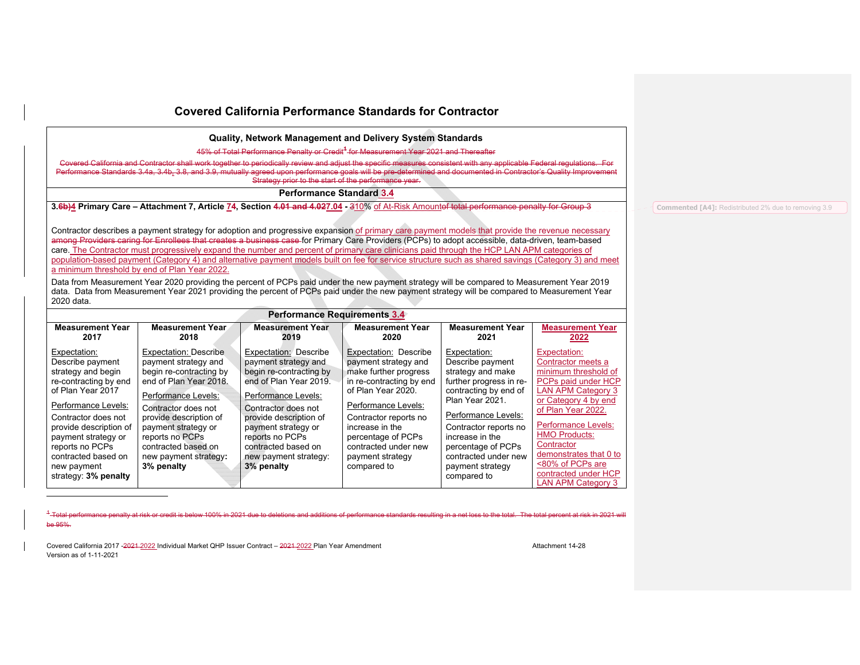**Quality, Network Management and Delivery System Standards** 

45% of Total Performance Penalty or Credit**<sup>1</sup>** for Measurement Year 2021 and Thereafter

Covered California and Contractor shall work together to periodically review and adjust the specific<br>Performance Standards 3.4a, 3.4b, 3.8, and 3.9, mutually agreed upon performance goals will be pr Performance Standards 3.4a, 3.4b, 3.8, and 3.9, mutually agreed upon performance goals will be pre-determined and documented in Contractor's Quality Improvement Strategy prior to the start of the performance year.

**Performance Standard 3.4**

**3.6b)4 Primary Care – Attachment 7, Article 74, Section 4.01 and 4.027.04 -** 310% of At-Risk Amountof total performance penalty for Group 3

Contractor describes a payment strategy for adoption and progressive expansion of primary care payment models that provide the revenue necessary among Providers caring for Enrollees that creates a business case for Primary Care Providers (PCPs) to adopt accessible, data-driven, team-based care. The Contractor must progressively expand the number and percent of primary care clinicians paid through the HCP LAN APM categories of population-based payment (Category 4) and alternative payment models built on fee for service structure such as shared savings (Category 3) and meet a minimum threshold by end of Plan Year 2022.

Data from Measurement Year 2020 providing the percent of PCPs paid under the new payment strategy will be compared to Measurement Year 2019 data. Data from Measurement Year 2021 providing the percent of PCPs paid under the new payment strategy will be compared to Measurement Year 2020 data.

|                                                                                                                                                                                                                                                                                         | <b>Performance Requirements 3.4</b>                                                                                                                                                                                                                                                |                                                                                                                                                                                                                                                                                    |                                                                                                                                                                                                                                                                              |                                                                                                                                                                                                                                                                                  |                                                                                                                                                                                                                                                                                                                                     |  |  |
|-----------------------------------------------------------------------------------------------------------------------------------------------------------------------------------------------------------------------------------------------------------------------------------------|------------------------------------------------------------------------------------------------------------------------------------------------------------------------------------------------------------------------------------------------------------------------------------|------------------------------------------------------------------------------------------------------------------------------------------------------------------------------------------------------------------------------------------------------------------------------------|------------------------------------------------------------------------------------------------------------------------------------------------------------------------------------------------------------------------------------------------------------------------------|----------------------------------------------------------------------------------------------------------------------------------------------------------------------------------------------------------------------------------------------------------------------------------|-------------------------------------------------------------------------------------------------------------------------------------------------------------------------------------------------------------------------------------------------------------------------------------------------------------------------------------|--|--|
| <b>Measurement Year</b><br>2017                                                                                                                                                                                                                                                         | Measurement Year<br>2018                                                                                                                                                                                                                                                           | <b>Measurement Year</b><br>2019                                                                                                                                                                                                                                                    | <b>Measurement Year</b><br>2020                                                                                                                                                                                                                                              | <b>Measurement Year</b><br>2021                                                                                                                                                                                                                                                  | <b>Measurement Year</b><br>2022                                                                                                                                                                                                                                                                                                     |  |  |
| Expectation:<br>Describe payment<br>strategy and begin<br>re-contracting by end<br>of Plan Year 2017<br>Performance Levels:<br>Contractor does not<br>provide description of<br>payment strategy or<br>reports no PCPs<br>contracted based on<br>new payment<br>strategy: $3\%$ penalty | Expectation: Describe<br>payment strategy and<br>begin re-contracting by<br>end of Plan Year 2018.<br>Performance Levels:<br>Contractor does not<br>provide description of<br>payment strategy or<br>reports no PCPs<br>contracted based on<br>new payment strategy:<br>3% penalty | Expectation: Describe<br>payment strategy and<br>begin re-contracting by<br>end of Plan Year 2019.<br>Performance Levels:<br>Contractor does not<br>provide description of<br>payment strategy or<br>reports no PCPs<br>contracted based on<br>new payment strategy:<br>3% penalty | Expectation: Describe<br>payment strategy and<br>make further progress<br>in re-contracting by end<br>of Plan Year 2020.<br>Performance Levels:<br>Contractor reports no<br>increase in the<br>percentage of PCPs<br>contracted under new<br>payment strategy<br>compared to | Expectation:<br>Describe payment<br>strategy and make<br>further progress in re-<br>contracting by end of<br>Plan Year 2021.<br>Performance Levels:<br>Contractor reports no<br>increase in the<br>percentage of PCPs<br>contracted under new<br>payment strategy<br>compared to | Expectation:<br>Contractor meets a<br>minimum threshold of<br>PCPs paid under HCP<br><b>LAN APM Category 3</b><br>or Category 4 by end<br>of Plan Year 2022.<br><b>Performance Levels:</b><br><b>HMO Products:</b><br>Contractor<br>demonstrates that 0 to<br><80% of PCPs are<br>contracted under HCP<br><b>LAN APM Category 3</b> |  |  |

1 Total performance penalty at risk or credit is below 100% in 2021 due to deletions and additions of performance standards resulting in a net loss to the total. The total percent at risk in 2021 will be 95%.

Covered California 2017 -2021 -2022 Individual Market OHP Issuer Contract – 2021 -2022 Plan Year Amendment Amendment Attachment 14-28 Version as of 1-11-2021

**Commented [A4]:** Redistributed 2% due to removing 3.9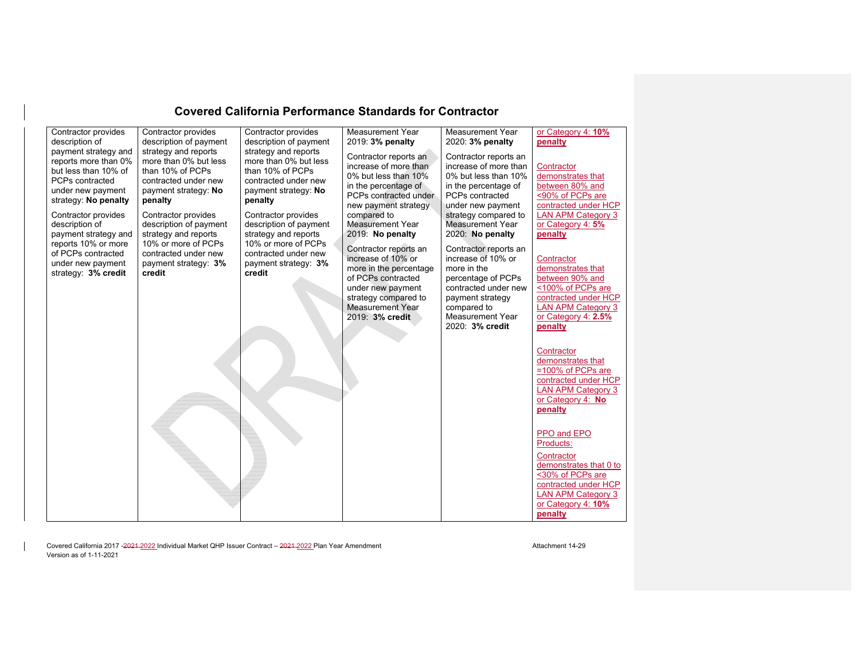| Contractor provides                                                                                                                                         | Contractor provides                                                                                                                                 | Contractor provides                                                                                                                                 | Measurement Year                                                                                                                                                                       | Measurement Year                                                                                                                                                                          | or Category 4: 10%                                                                                                                                                                                                                                                                                          |
|-------------------------------------------------------------------------------------------------------------------------------------------------------------|-----------------------------------------------------------------------------------------------------------------------------------------------------|-----------------------------------------------------------------------------------------------------------------------------------------------------|----------------------------------------------------------------------------------------------------------------------------------------------------------------------------------------|-------------------------------------------------------------------------------------------------------------------------------------------------------------------------------------------|-------------------------------------------------------------------------------------------------------------------------------------------------------------------------------------------------------------------------------------------------------------------------------------------------------------|
| description of                                                                                                                                              | description of payment                                                                                                                              | description of payment                                                                                                                              | 2019: 3% penalty                                                                                                                                                                       | 2020: 3% penalty                                                                                                                                                                          | penalty                                                                                                                                                                                                                                                                                                     |
| payment strategy and<br>reports more than 0%<br>but less than 10% of<br>PCPs contracted<br>under new payment<br>strategy: No penalty<br>Contractor provides | strategy and reports<br>more than 0% but less<br>than 10% of PCPs<br>contracted under new<br>payment strategy: No<br>penalty<br>Contractor provides | strategy and reports<br>more than 0% but less<br>than 10% of PCPs<br>contracted under new<br>payment strategy: No<br>penalty<br>Contractor provides | Contractor reports an<br>increase of more than<br>0% but less than 10%<br>in the percentage of<br>PCPs contracted under<br>new payment strategy<br>compared to                         | Contractor reports an<br>increase of more than<br>0% but less than 10%<br>in the percentage of<br>PCPs contracted<br>under new payment<br>strategy compared to                            | Contractor<br>demonstrates that<br>between 80% and<br><90% of PCPs are<br>contracted under HCP<br><b>LAN APM Category 3</b>                                                                                                                                                                                 |
| description of                                                                                                                                              | description of payment                                                                                                                              | description of payment                                                                                                                              | <b>Measurement Year</b>                                                                                                                                                                | Measurement Year                                                                                                                                                                          | or Category 4: 5%                                                                                                                                                                                                                                                                                           |
| payment strategy and<br>reports 10% or more                                                                                                                 | strategy and reports<br>10% or more of PCPs                                                                                                         | strategy and reports<br>10% or more of PCPs                                                                                                         | 2019: No penalty                                                                                                                                                                       | 2020: No penalty                                                                                                                                                                          | penalty                                                                                                                                                                                                                                                                                                     |
| of PCPs contracted<br>under new payment<br>strategy: 3% credit                                                                                              | contracted under new<br>payment strategy: 3%<br>credit                                                                                              | contracted under new<br>payment strategy: 3%<br>credit                                                                                              | Contractor reports an<br>increase of 10% or<br>more in the percentage<br>of PCPs contracted<br>under new payment<br>strategy compared to<br><b>Measurement Year</b><br>2019: 3% credit | Contractor reports an<br>increase of 10% or<br>more in the<br>percentage of PCPs<br>contracted under new<br>payment strategy<br>compared to<br><b>Measurement Year</b><br>2020: 3% credit | Contractor<br>demonstrates that<br>between 90% and<br><100% of PCPs are<br>contracted under HCP<br><b>LAN APM Category 3</b><br>or Category 4: 2.5%<br>penalty<br>Contractor<br>demonstrates that<br>=100% of PCPs are<br>contracted under HCP<br><b>LAN APM Category 3</b><br>or Category 4: No<br>penalty |
|                                                                                                                                                             |                                                                                                                                                     |                                                                                                                                                     |                                                                                                                                                                                        |                                                                                                                                                                                           | PPO and EPO<br>Products:<br>Contractor<br>demonstrates that 0 to<br><30% of PCPs are<br>contracted under HCP<br><b>LAN APM Category 3</b>                                                                                                                                                                   |
|                                                                                                                                                             |                                                                                                                                                     |                                                                                                                                                     |                                                                                                                                                                                        |                                                                                                                                                                                           | or Category 4: 10%<br>penalty                                                                                                                                                                                                                                                                               |

Covered California 2017 -2021 -2022 Individual Market QHP Issuer Contract – 2021-2022 Plan Year Amendment Amendment Attachment 14-29 Version as of 1-11-2021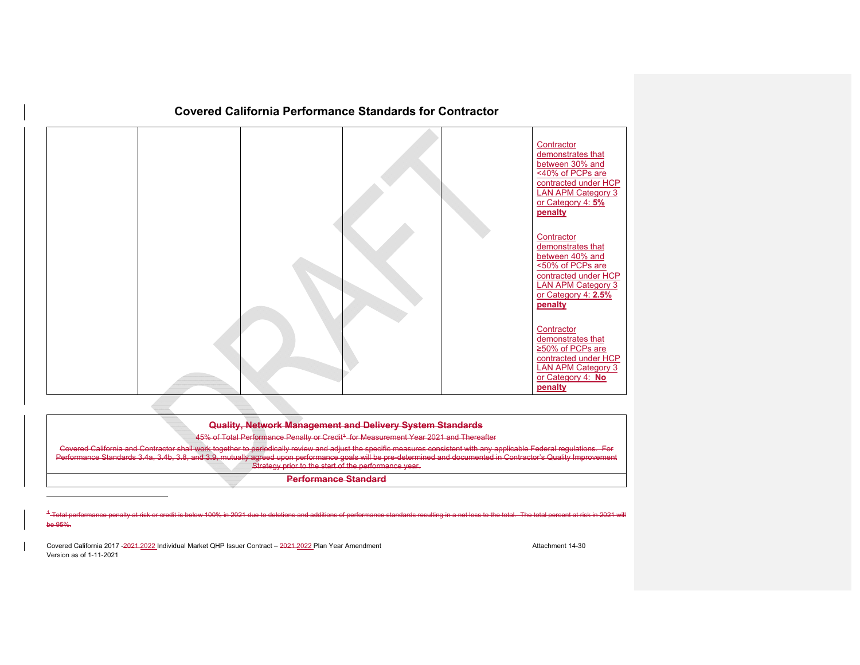

| <b>Ouglity Notwork Management and Dolivery System Standards</b> |  |
|-----------------------------------------------------------------|--|
| <u>waanty, nothone management and Denvery Oystem otanaaras</u>  |  |

45% of Total Performance Penalty or Credit<sup>1</sup> for Measurement Year 2021 and Thereafter

ork together to periodically review and adjust the specific measures consistent with any applicable Federal regulations. For<br>d 3.9. mutually agreed upon performance goals will be pre-determined and documented in Contractor Performance Standards 3.4a, 3.4b, 3.8, and 3.9, mutually agreed upon performance goals will be pre-determined and documented in Contractor's Quality Improvement Strategy prior to the start of the performance year.

**Performance Standard**

<sup>1</sup>-Total performance penalty at risk or credit is below 100% in 2021 due to deletions and additions of performance standards resulting in a net loss to the total. The total percent at risk in 2021 will be 95%.

Covered California 2017 -2021-2022 Individual Market QHP Issuer Contract – 2021-2022 Plan Year Amendment Amendment Attachment 14-30 Version as of 1-11-2021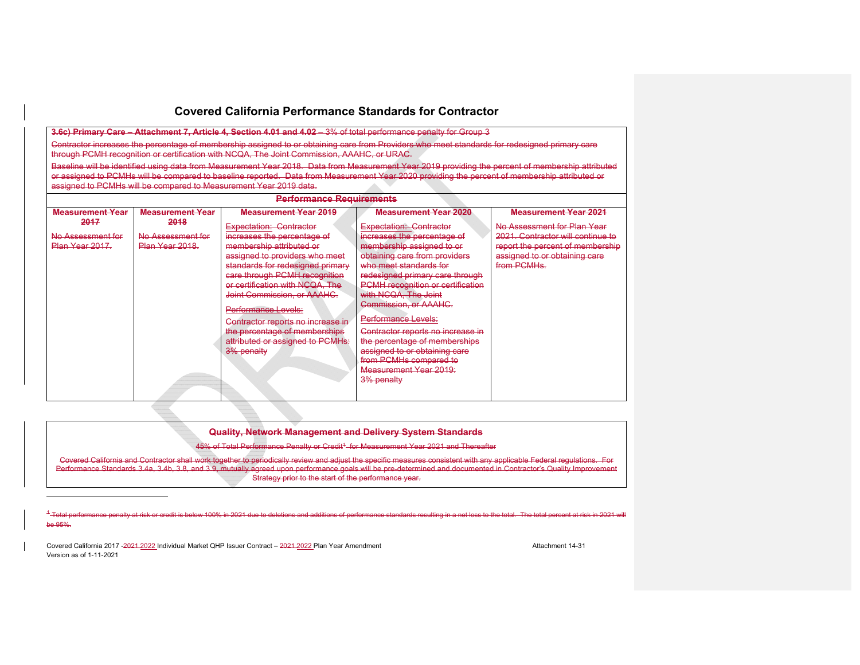**3.6c) Primary Care – Attachment 7, Article 4, Section 4.01 and 4.02 – 3% of total performance penalty for Group 3** 

Contractor increases the percentage of membership assigned to or obtaining care from Providers who meet standards for redesigned primary care through PCMH recognition or certification with NCQA, The Joint Commission, AAAHC, or URAC.

Baseline will be identified using data from Measurement Year 2018. Data from Measurement Year 2019 providing the percent of membership attributed or assigned to PCMHs will be compared to baseline reported. Data from Measurement Year 2020 providing the percent of membership attributed or assigned to PCMHs will be compared to Measurement Year 2019 data.

| <b>Performance Requirements</b>             |                                              |                                                                                                                                                                                                                                                                                    |                                                                                                                                                                                                                                                                         |                                                                                                                                                      |  |  |  |
|---------------------------------------------|----------------------------------------------|------------------------------------------------------------------------------------------------------------------------------------------------------------------------------------------------------------------------------------------------------------------------------------|-------------------------------------------------------------------------------------------------------------------------------------------------------------------------------------------------------------------------------------------------------------------------|------------------------------------------------------------------------------------------------------------------------------------------------------|--|--|--|
| <b>Measurement Year</b>                     | <b>Measurement Year</b>                      | <b>Measurement Year 2019</b>                                                                                                                                                                                                                                                       | <b>Measurement Year 2020</b>                                                                                                                                                                                                                                            | <b>Measurement Year 2021</b>                                                                                                                         |  |  |  |
| 2017<br>No Assessment for<br>Plan Year 2017 | 2018<br>No Assessment for<br>Plan Year 2018. | Expectation: Contractor<br>increases the percentage of<br>membership attributed or<br>assigned to providers who meet<br>standards for redesigned primary<br>care through PCMH recognition<br>or certification with NCQA. The<br>Joint Commission, or AAAHC.<br>Performance Levels: | Expectation: Contractor<br>increases the percentage of<br>membership assigned to or<br>obtaining care from providers<br>who meet standards for<br>redesigned primary care through<br>PCMH recognition or certification<br>with NCQA, The Joint<br>Commission, or AAAHC. | No Assessment for Plan Year<br>2021. Contractor will continue to<br>report the percent of membership<br>assigned to or obtaining care<br>from PCMHs. |  |  |  |
|                                             |                                              | Contractor reports no increase in<br>the percentage of memberships<br>attributed or assigned to PCMHs:<br>3% penalty                                                                                                                                                               | Performance Levels:<br>Contractor reports no increase in<br>the percentage of memberships<br>assigned to or obtaining care<br>from PCMHs compared to<br>Measurement Year 2019:<br>3% penalty                                                                            |                                                                                                                                                      |  |  |  |

**Quality, Network Management and Delivery System Standards** 

45% of Total Performance Penalty or Credit<sup>4</sup> for Measurement Year 2021 and Thereafter

Covered California and Contractor shall work together to periodically review and adjust the specific measures consistent with any applicable Federal regulations. For Performance Standards 3.4a, 3.4b, 3.8, and 3.9, mutually agreed upon performance goals will be pre-determined and documented in Contractor's Quality Improvement Strategy prior to the start of the performance year.

<sup>1</sup>-Total performance penalty at risk or credit is belo TOO% in 2021 due to deletions and additions of performance standards resulting in a net loss to the total. The total percent at risk in be 95%.

Covered California 2017 -2024-2022 Individual Market QHP Issuer Contract – 2021-2022 Plan Year Amendment Amendment Version as of 1-11-2021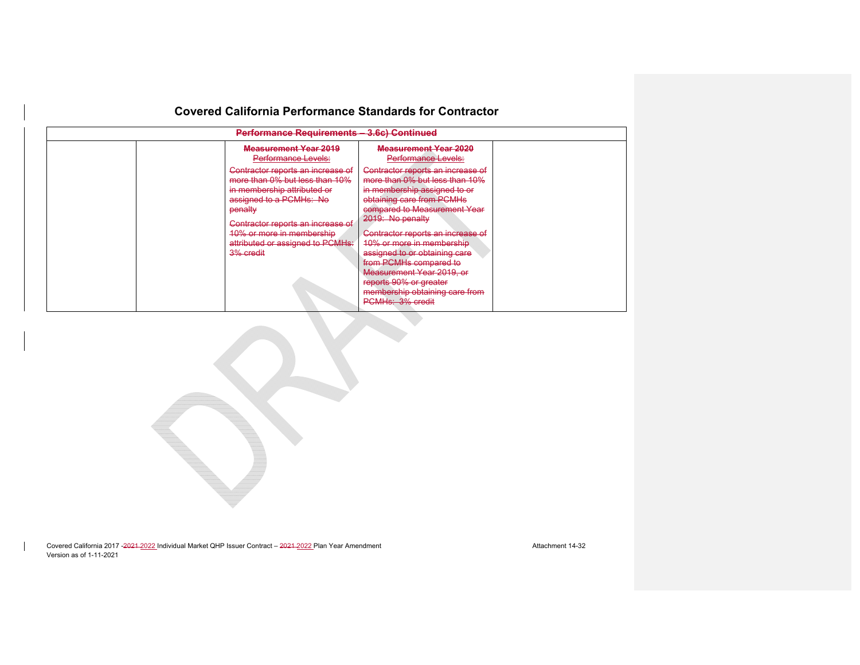| Performance Requirements - 3.6c) Continued |                                                                                                    |                                                                                                     |  |  |  |
|--------------------------------------------|----------------------------------------------------------------------------------------------------|-----------------------------------------------------------------------------------------------------|--|--|--|
|                                            | <b>Measurement Year 2019</b><br>Performance Levels:                                                | <b>Measurement Year 2020</b><br><b>Performance Levels:</b>                                          |  |  |  |
|                                            | Contractor reports an increase of<br>more than 0% but less than 10%<br>in membership attributed or | Contractor reports an increase of<br>more than 0% but less than 10%<br>in membership assigned to or |  |  |  |
| penalty                                    | assigned to a PCMHs: No                                                                            | obtaining care from PCMHs<br>compared to Measurement Year<br>2019: No penalty                       |  |  |  |
|                                            | Contractor reports an increase of<br>10% or more in membership<br>attributed or assigned to PCMHs: | Contractor reports an increase of<br>10% or more in membership                                      |  |  |  |
| 3% credit                                  |                                                                                                    | assigned to or obtaining care<br>from PCMHs compared to<br>Measurement Year 2019, or                |  |  |  |
|                                            |                                                                                                    | reports 90% or greater<br>membership obtaining care from<br>PCMHs: 3% credit                        |  |  |  |

Covered California 2017 -2021-2022 Individual Market QHP Issuer Contract – 2021-2022 Plan Year Amendment Amendment Attachment 14-32 Version as of 1-11-2021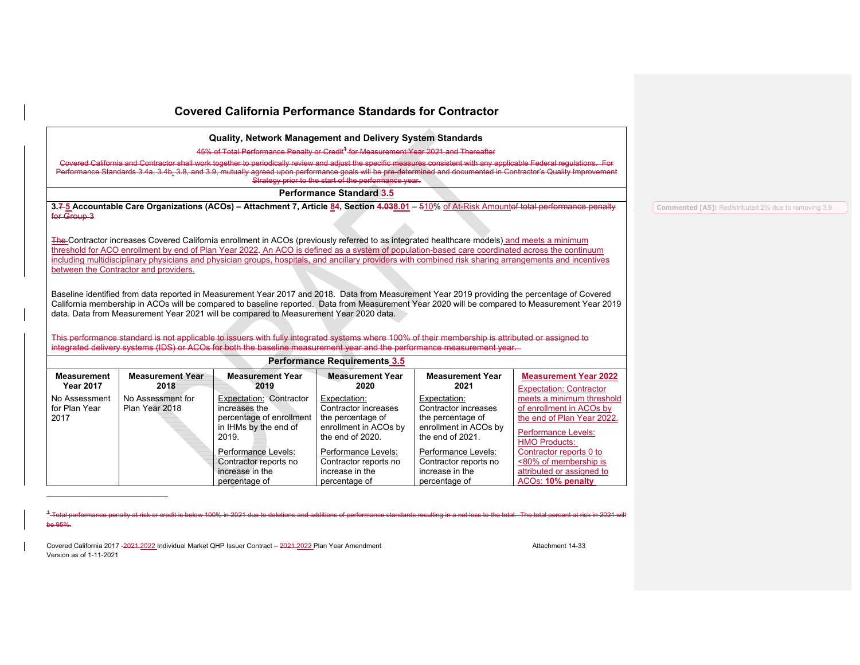**Quality, Network Management and Delivery System Standards** 

45% of Total Performance Penalty or Credit**<sup>1</sup>** for Measurement Year 2021 and Thereafter

Covered California and Contractor shall work together to periodically review and adjust the specific Performance Standards 3.4a, 3.4b, 3.8, and 3.9, mutually agreed upon performance goals will be pre-determined and documented in Contractor's Quality Improvement Strategy prior to the start of the performance year.

**Performance Standard 3.5**

**3.7 5 Accountable Care Organizations (ACOs) – Attachment 7, Article 84, Section 4.038.01** – 510% of At-Risk Amountof total performance penalty for Group 3

The Contractor increases Covered California enrollment in ACOs (previously referred to as integrated healthcare models) and meets a minimum threshold for ACO enrollment by end of Plan Year 2022. An ACO is defined as a system of population-based care coordinated across the continuum including multidisciplinary physicians and physician groups, hospitals, and ancillary providers with combined risk sharing arrangements and incentives between the Contractor and providers.

Baseline identified from data reported in Measurement Year 2017 and 2018. Data from Measurement Year 2019 providing the percentage of Covered California membership in ACOs will be compared to baseline reported. Data from Measurement Year 2020 will be compared to Measurement Year 2019 data. Data from Measurement Year 2021 will be compared to Measurement Year 2020 data.

This performance standard is not applicable to issuers with fully integrated systems where 100% of their membership is attributed or assigned to integrated delivery systems (IDS) or ACOs for both the baseline measurement year and the performance measurement year.

|                                        | <b>Performance Requirements 3.5</b>                                                                                                      |                                                                                                        |                                                                                                        |                                                                                                        |                                                                                                                                                                      |  |
|----------------------------------------|------------------------------------------------------------------------------------------------------------------------------------------|--------------------------------------------------------------------------------------------------------|--------------------------------------------------------------------------------------------------------|--------------------------------------------------------------------------------------------------------|----------------------------------------------------------------------------------------------------------------------------------------------------------------------|--|
| <b>Measurement</b><br><b>Year 2017</b> | <b>Measurement Year</b><br><b>Measurement Year</b><br><b>Measurement Year</b><br><b>Measurement Year</b><br>2018<br>2019<br>2020<br>2021 |                                                                                                        |                                                                                                        |                                                                                                        |                                                                                                                                                                      |  |
| No Assessment<br>for Plan Year<br>2017 | No Assessment for<br>Plan Year 2018                                                                                                      | Expectation: Contractor<br>increases the<br>percentage of enrollment<br>in IHMs by the end of<br>2019. | Expectation:<br>Contractor increases<br>the percentage of<br>enrollment in ACOs by<br>the end of 2020. | Expectation:<br>Contractor increases<br>the percentage of<br>enrollment in ACOs by<br>the end of 2021. | <b>Expectation: Contractor</b><br>meets a minimum threshold<br>of enrollment in ACOs by<br>the end of Plan Year 2022.<br>Performance Levels:<br><b>HMO Products:</b> |  |
|                                        |                                                                                                                                          | Performance Levels:<br>Contractor reports no<br>increase in the<br>percentage of                       | Performance Levels:<br>Contractor reports no<br>increase in the<br>percentage of                       | Performance Levels:<br>Contractor reports no<br>increase in the<br>percentage of                       | Contractor reports 0 to<br><80% of membership is<br>attributed or assigned to<br>ACO <sub>s</sub> : <b>10% penalty</b>                                               |  |

1 Total performance penalty at risk or credit is below 100% in 2021 due to deletions and additions of performance standards resulting in a net loss to the total. The total percent at risk in 2021 will be 95%.

Covered California 2017 -2021 -2022 Individual Market OHP Issuer Contract – 2021 -2022 Plan Year Amendment Amendment Version as of 1-11-2021

**Commented [A5]:** Redistributed 2% due to removing 3.9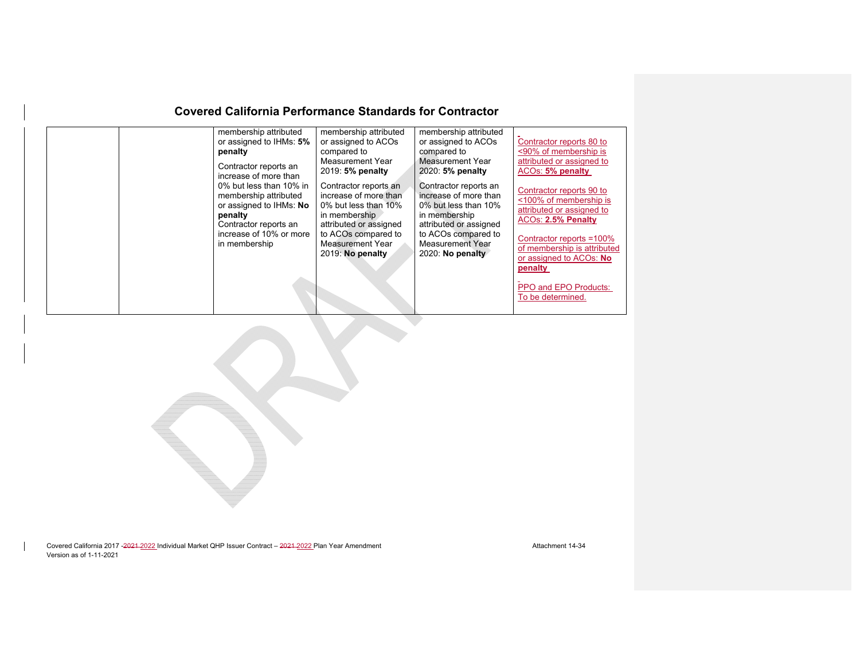|  | membership attributed<br>or assigned to IHMs: 5%<br>penalty<br>Contractor reports an                                                                                                 | membership attributed<br>or assigned to ACOs<br>compared to<br>Measurement Year<br>2019: 5% penalty                                                                              | membership attributed<br>or assigned to ACOs<br>compared to<br>Measurement Year<br>2020: 5% penalty                                                                                 | Contractor reports 80 to<br><90% of membership is<br>attributed or assigned to<br>ACOs: 5% penalty                                                                                          |
|--|--------------------------------------------------------------------------------------------------------------------------------------------------------------------------------------|----------------------------------------------------------------------------------------------------------------------------------------------------------------------------------|-------------------------------------------------------------------------------------------------------------------------------------------------------------------------------------|---------------------------------------------------------------------------------------------------------------------------------------------------------------------------------------------|
|  | increase of more than<br>0% but less than 10% in<br>membership attributed<br>or assigned to IHMs: No<br>penalty<br>Contractor reports an<br>increase of 10% or more<br>in membership | Contractor reports an<br>increase of more than<br>0% but less than 10%<br>in membership<br>attributed or assigned<br>to ACOs compared to<br>Measurement Year<br>2019: No penalty | Contractor reports an<br>increase of more than<br>0% but less than 10%<br>in membership<br>attributed or assigned<br>to ACOs compared to<br>Measurement Year<br>$2020$ : No penalty | Contractor reports 90 to<br><100% of membership is<br>attributed or assigned to<br>ACOs: 2.5% Penalty<br>Contractor reports =100%<br>of membership is attributed<br>or assigned to ACOs: No |
|  |                                                                                                                                                                                      |                                                                                                                                                                                  |                                                                                                                                                                                     | penalty<br>PPO and EPO Products:<br>To be determined.                                                                                                                                       |

Covered California 2017 -2021-2022 Individual Market QHP Issuer Contract – 2021-2022 Plan Year Amendment Amendment Attachment 14-34 Version as of 1-11-2021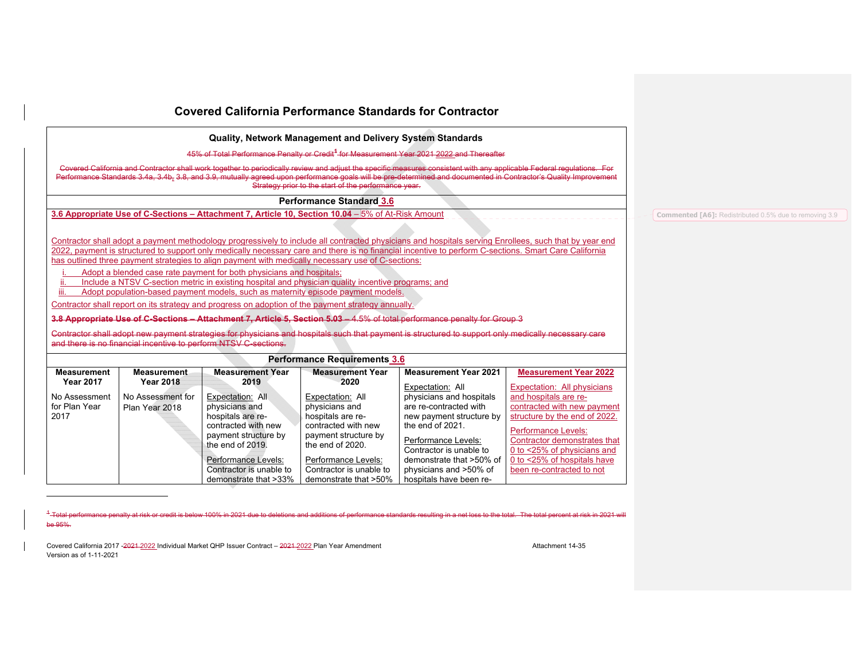|                                                                                                                                                                                                                                                                                                                                                                                                                                                                                                                                                                                                                                                                                                                                                                                                                                                                                                                                                                                                                                                                                                                                                      |                                        |                                                                                                                                                                                                       |                                                                                                                                                                                                       | 45% of Total Performance Penalty or Credit <sup>4</sup> for Measurement Year 2021 2022 and Thereafter                                                                                                                                 |                                                                                                                                                                                                                                                                                                                                           |                                                               |
|------------------------------------------------------------------------------------------------------------------------------------------------------------------------------------------------------------------------------------------------------------------------------------------------------------------------------------------------------------------------------------------------------------------------------------------------------------------------------------------------------------------------------------------------------------------------------------------------------------------------------------------------------------------------------------------------------------------------------------------------------------------------------------------------------------------------------------------------------------------------------------------------------------------------------------------------------------------------------------------------------------------------------------------------------------------------------------------------------------------------------------------------------|----------------------------------------|-------------------------------------------------------------------------------------------------------------------------------------------------------------------------------------------------------|-------------------------------------------------------------------------------------------------------------------------------------------------------------------------------------------------------|---------------------------------------------------------------------------------------------------------------------------------------------------------------------------------------------------------------------------------------|-------------------------------------------------------------------------------------------------------------------------------------------------------------------------------------------------------------------------------------------------------------------------------------------------------------------------------------------|---------------------------------------------------------------|
|                                                                                                                                                                                                                                                                                                                                                                                                                                                                                                                                                                                                                                                                                                                                                                                                                                                                                                                                                                                                                                                                                                                                                      |                                        |                                                                                                                                                                                                       | Strategy prior to the start of the performance year.                                                                                                                                                  |                                                                                                                                                                                                                                       | Covered California and Contractor shall work together to periodically review and adjust the specific measures consistent with any applicable Federal requlations. For<br>Performance Standards 3.4a, 3.4b, 3.8, and 3.9, mutually agreed upon performance goals will be pre-determined and documented in Contractor's Quality Improvement |                                                               |
|                                                                                                                                                                                                                                                                                                                                                                                                                                                                                                                                                                                                                                                                                                                                                                                                                                                                                                                                                                                                                                                                                                                                                      |                                        |                                                                                                                                                                                                       | <b>Performance Standard 3.6</b>                                                                                                                                                                       |                                                                                                                                                                                                                                       |                                                                                                                                                                                                                                                                                                                                           |                                                               |
|                                                                                                                                                                                                                                                                                                                                                                                                                                                                                                                                                                                                                                                                                                                                                                                                                                                                                                                                                                                                                                                                                                                                                      |                                        |                                                                                                                                                                                                       | 3.6 Appropriate Use of C-Sections – Attachment 7, Article 10, Section 10.04 – 5% of At-Risk Amount                                                                                                    |                                                                                                                                                                                                                                       |                                                                                                                                                                                                                                                                                                                                           | <b>Commented [A6]:</b> Redistributed 0.5% due to removing 3.9 |
| Contractor shall adopt a payment methodology progressively to include all contracted physicians and hospitals serving Enrollees, such that by year end<br>2022, payment is structured to support only medically necessary care and there is no financial incentive to perform C-sections. Smart Care California<br>has outlined three payment strategies to align payment with medically necessary use of C-sections:<br>Adopt a blended case rate payment for both physicians and hospitals;<br>Include a NTSV C-section metric in existing hospital and physician quality incentive programs; and<br>Adopt population-based payment models, such as maternity episode payment models.<br>Contractor shall report on its strategy and progress on adoption of the payment strategy annually.<br>3.8 Appropriate Use of C-Sections - Attachment 7, Article 5, Section 5.03 - 4.5% of total performance penalty for Group 3<br>Contractor shall adopt new payment strategies for physicians and hospitals such that payment is structured to support only medically necessary care<br>and there is no financial incentive to perform NTSV C-sections. |                                        |                                                                                                                                                                                                       |                                                                                                                                                                                                       |                                                                                                                                                                                                                                       |                                                                                                                                                                                                                                                                                                                                           |                                                               |
|                                                                                                                                                                                                                                                                                                                                                                                                                                                                                                                                                                                                                                                                                                                                                                                                                                                                                                                                                                                                                                                                                                                                                      |                                        |                                                                                                                                                                                                       | Performance Requirements 3.6                                                                                                                                                                          |                                                                                                                                                                                                                                       |                                                                                                                                                                                                                                                                                                                                           |                                                               |
| <b>Measurement</b><br><b>Year 2017</b>                                                                                                                                                                                                                                                                                                                                                                                                                                                                                                                                                                                                                                                                                                                                                                                                                                                                                                                                                                                                                                                                                                               | <b>Measurement</b><br><b>Year 2018</b> | <b>Measurement Year</b><br>2019                                                                                                                                                                       | <b>Measurement Year</b><br>2020                                                                                                                                                                       | <b>Measurement Year 2021</b><br>Expectation: All                                                                                                                                                                                      | <b>Measurement Year 2022</b><br>Expectation: All physicians                                                                                                                                                                                                                                                                               |                                                               |
| No Assessment<br>for Plan Year<br>2017                                                                                                                                                                                                                                                                                                                                                                                                                                                                                                                                                                                                                                                                                                                                                                                                                                                                                                                                                                                                                                                                                                               | No Assessment for<br>Plan Year 2018    | Expectation: All<br>physicians and<br>hospitals are re-<br>contracted with new<br>payment structure by<br>the end of 2019.<br>Performance Levels:<br>Contractor is unable to<br>demonstrate that >33% | Expectation: All<br>physicians and<br>hospitals are re-<br>contracted with new<br>payment structure by<br>the end of 2020.<br>Performance Levels:<br>Contractor is unable to<br>demonstrate that >50% | physicians and hospitals<br>are re-contracted with<br>new payment structure by<br>the end of 2021.<br>Performance Levels:<br>Contractor is unable to<br>demonstrate that >50% of<br>physicians and >50% of<br>hospitals have been re- | and hospitals are re-<br>contracted with new payment<br>structure by the end of 2022.<br><b>Performance Levels:</b><br>Contractor demonstrates that<br>0 to <25% of physicians and<br>0 to <25% of hospitals have<br>been re-contracted to not                                                                                            |                                                               |

<sup>1</sup>-Total performance penalty at risk or credit is below 100% in 2021 due to deletions and additions of performance standards resulting in a net loss to the total. The total percent at risk in 2021 will be 95%.

Covered California 2017 -2021 -2022 Individual Market QHP Issuer Contract – 2021-2022 Plan Year Amendment Amendment Attachment 14-35 Version as of 1-11-2021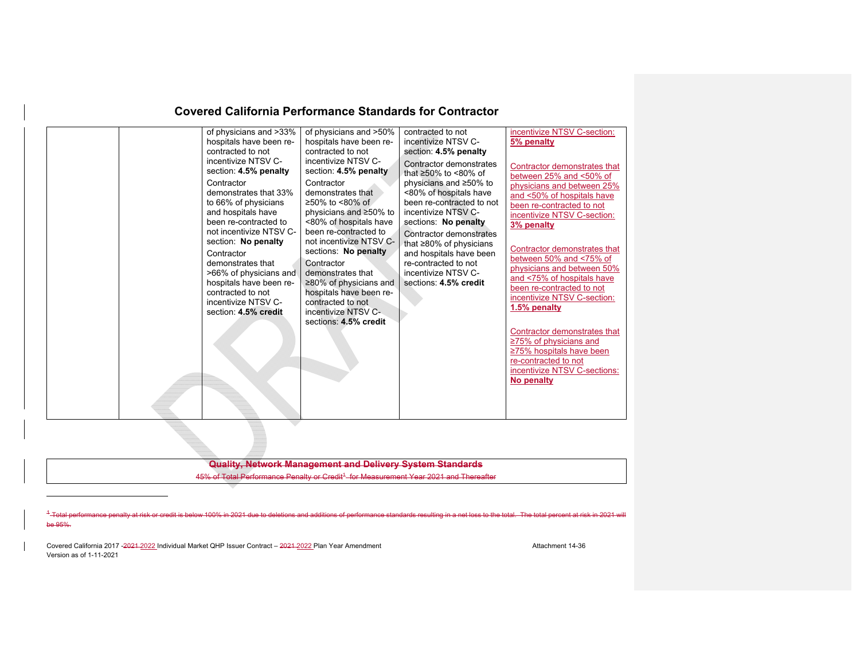| of physicians and >33%<br>hospitals have been re-<br>contracted to not<br>incentivize NTSV C-<br>section: 4.5% penalty<br>Contractor<br>Contractor<br>demonstrates that 33%<br>to 66% of physicians<br>and hospitals have<br>been re-contracted to<br>not incentivize NTSV C-<br>section: No penalty<br>Contractor<br>demonstrates that<br>Contractor<br>>66% of physicians and<br>hospitals have been re-<br>contracted to not<br>incentivize NTSV C-<br>section: 4.5% credit | of physicians and >50%<br>contracted to not<br>incentivize NTSV C-section:<br>hospitals have been re-<br>5% penalty<br>incentivize NTSV C-<br>contracted to not<br>section: 4.5% penalty<br>incentivize NTSV C-<br>Contractor demonstrates<br>Contractor demonstrates that<br>section: 4.5% penalty<br>that $\geq 50\%$ to <80% of<br>between 25% and <50% of<br>physicians and ≥50% to<br>physicians and between 25%<br>demonstrates that<br><80% of hospitals have<br>and <50% of hospitals have<br>≥50% to <80% of<br>been re-contracted to not<br>been re-contracted to not<br>physicians and ≥50% to<br>incentivize NTSV C-<br>incentivize NTSV C-section:<br><80% of hospitals have<br>sections: No penalty<br>3% penalty<br>been re-contracted to<br>Contractor demonstrates<br>not incentivize NTSV C-<br>that ≥80% of physicians<br>Contractor demonstrates that<br>sections: No penalty<br>and hospitals have been<br>between 50% and <75% of<br>re-contracted to not<br>physicians and between 50%<br>incentivize NTSV C-<br>demonstrates that<br>and <75% of hospitals have<br>$\geq$ 80% of physicians and<br>sections: 4.5% credit<br>been re-contracted to not<br>hospitals have been re-<br>incentivize NTSV C-section:<br>contracted to not<br>1.5% penalty<br>incentivize NTSV C-<br>sections: 4.5% credit<br>Contractor demonstrates that<br>$\geq$ 75% of physicians and<br>$\geq$ 75% hospitals have been<br>re-contracted to not<br>incentivize NTSV C-sections:<br>No penalty |
|--------------------------------------------------------------------------------------------------------------------------------------------------------------------------------------------------------------------------------------------------------------------------------------------------------------------------------------------------------------------------------------------------------------------------------------------------------------------------------|------------------------------------------------------------------------------------------------------------------------------------------------------------------------------------------------------------------------------------------------------------------------------------------------------------------------------------------------------------------------------------------------------------------------------------------------------------------------------------------------------------------------------------------------------------------------------------------------------------------------------------------------------------------------------------------------------------------------------------------------------------------------------------------------------------------------------------------------------------------------------------------------------------------------------------------------------------------------------------------------------------------------------------------------------------------------------------------------------------------------------------------------------------------------------------------------------------------------------------------------------------------------------------------------------------------------------------------------------------------------------------------------------------------------------------------------------------------------------------------------------|
|--------------------------------------------------------------------------------------------------------------------------------------------------------------------------------------------------------------------------------------------------------------------------------------------------------------------------------------------------------------------------------------------------------------------------------------------------------------------------------|------------------------------------------------------------------------------------------------------------------------------------------------------------------------------------------------------------------------------------------------------------------------------------------------------------------------------------------------------------------------------------------------------------------------------------------------------------------------------------------------------------------------------------------------------------------------------------------------------------------------------------------------------------------------------------------------------------------------------------------------------------------------------------------------------------------------------------------------------------------------------------------------------------------------------------------------------------------------------------------------------------------------------------------------------------------------------------------------------------------------------------------------------------------------------------------------------------------------------------------------------------------------------------------------------------------------------------------------------------------------------------------------------------------------------------------------------------------------------------------------------|

#### **Quality, Network Management and Delivery System Standards**

45% of Total Performance Penalty or Credit<sup>4</sup> for Measurement Year 2021 and Thereafter

 $4 -$ Tote formance penalty at risk or credit is below 100% in 2021 due to deletions and additions of performance standards resulting in a net loss to the total. The total percent at risk in 2021 will be 95%.

Covered California 2017 -2021 2022 Individual Market QHP Issuer Contract – 2021-2022 Plan Year Amendment Amendment Attachment 14-36 Version as of 1-11-2021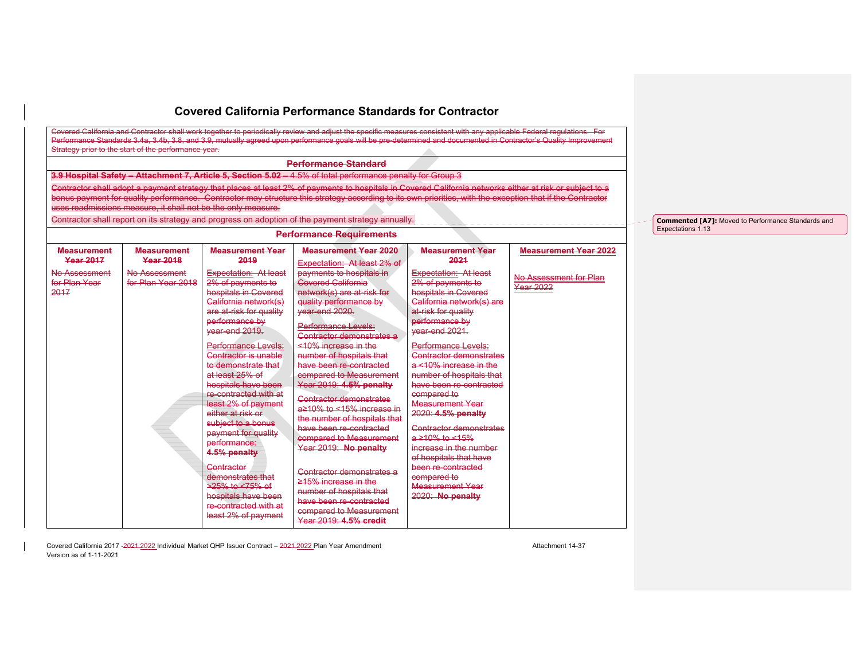|                    |                                                              |                                          | <b>Performance Standard</b>                                                                                                                              |                                        |                                            |
|--------------------|--------------------------------------------------------------|------------------------------------------|----------------------------------------------------------------------------------------------------------------------------------------------------------|----------------------------------------|--------------------------------------------|
|                    |                                                              |                                          | 3.9 Hospital Safety - Attachment 7, Article 5, Section 5.02 - 4.5% of total performance penalty for Group 3                                              |                                        |                                            |
|                    |                                                              |                                          | Contractor shall adopt a payment strategy that places at least 2% of payments to hospitals in Covered California networks either at risk or subject to a |                                        |                                            |
|                    | uses readmissions measure, it shall not be the only measure. |                                          | bonus payment for quality performance. Contractor may structure this strategy according to its own priorities, with the exception that if the Contractor |                                        |                                            |
|                    |                                                              |                                          | Contractor shall report on its strategy and progress on adoption of the payment strategy annually.                                                       |                                        |                                            |
|                    |                                                              |                                          | <b>Performance Requirements</b>                                                                                                                          |                                        |                                            |
| <b>Measurement</b> | <b>Measurement</b>                                           | <b>Measurement Year</b>                  | <b>Measurement Year 2020</b>                                                                                                                             | <b>Measurement Year</b>                | <b>Measurement Year 2022</b>               |
| <b>Year 2017</b>   | <b>Year 2018</b>                                             | 2019                                     | Expectation: At least 2% of                                                                                                                              | 2021                                   |                                            |
| No Assessment      | No Assessment                                                | Expectation: At least                    | payments to hospitals in                                                                                                                                 | Expectation: At least                  |                                            |
| for Plan Year      | for Plan Year 2018                                           | 2% of payments to                        | <b>Covered California</b>                                                                                                                                | 2% of payments to                      | No Assessment for Plan<br><b>Year 2022</b> |
| 2017               |                                                              | hospitals in Covered                     | network(s) are at-risk for                                                                                                                               | hospitals in Covered                   |                                            |
|                    |                                                              | Galifornia network(s)                    | quality performance by                                                                                                                                   | Galifornia network(s) are              |                                            |
|                    |                                                              | are at-risk for quality                  | year-end 2020.                                                                                                                                           | at-risk for quality                    |                                            |
|                    |                                                              | performance by                           | Performance Levels:                                                                                                                                      | performance by                         |                                            |
|                    |                                                              | vear-end 2019.                           | Contractor demonstrates a                                                                                                                                | vear-end 2021.                         |                                            |
|                    |                                                              | Performance Levels:                      | $<$ 10% increase in the                                                                                                                                  | Performance Levels:                    |                                            |
|                    |                                                              | Contractor is unable                     | number of hospitals that                                                                                                                                 | Contractor demonstrates                |                                            |
|                    |                                                              | to demonstrate that                      | have been re-contracted                                                                                                                                  | $a \le 10\%$ increase in the           |                                            |
|                    |                                                              | at least 25% of                          | compared to Measurement                                                                                                                                  | number of hospitals that               |                                            |
|                    |                                                              | hospitals have been                      | Year 2019: 4.5% penalty                                                                                                                                  | have been re-contracted                |                                            |
|                    |                                                              | re-contracted with at                    | <b>Contractor demonstrates</b>                                                                                                                           | compared to                            |                                            |
|                    |                                                              | least 2% of payment<br>either at risk or | $a \ge 10\%$ to <15% increase in                                                                                                                         | <b>Measurement Year</b>                |                                            |
|                    |                                                              | subject to a bonus                       | the number of hospitals that                                                                                                                             | 2020: 4.5% penalty                     |                                            |
|                    |                                                              | payment for quality                      | have been re-contracted                                                                                                                                  | Contractor demonstrates                |                                            |
|                    |                                                              | performance:                             | compared to Measurement                                                                                                                                  | $a \ge 10\%$ to <15%                   |                                            |
|                    |                                                              | 4.5% penalty                             | Year 2019: No penalty                                                                                                                                    | increase in the number                 |                                            |
|                    |                                                              |                                          |                                                                                                                                                          | of hospitals that have                 |                                            |
|                    |                                                              | Contractor                               | Contractor demonstrates a                                                                                                                                | been re-contracted                     |                                            |
|                    |                                                              | demonstrates that<br>$>25\%$ to <75% of  | $\geq 15\%$ increase in the                                                                                                                              | compared to<br><b>Measurement Year</b> |                                            |
|                    |                                                              | hospitals have been                      | number of hospitals that                                                                                                                                 | 2020: No penalty                       |                                            |
|                    |                                                              | re-contracted with at                    | have been re-contracted                                                                                                                                  |                                        |                                            |
|                    |                                                              | least 2% of payment                      | compared to Measurement                                                                                                                                  |                                        |                                            |
|                    |                                                              |                                          | Year 2019: 4.5% credit                                                                                                                                   |                                        |                                            |

Covered California 2017 -2021 -2022 Individual Market QHP Issuer Contract – 2021-2022 Plan Year Amendment Amendment Attachment 14-37 Version as of 1-11-2021

**Commented [A7]:** Moved to Performance Standards and Expectations 1.13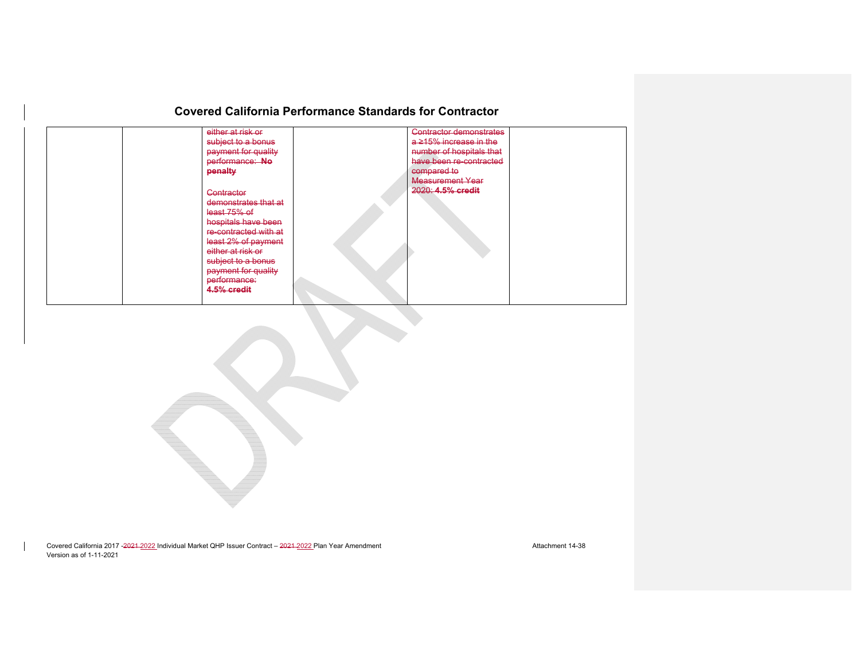| either at risk or<br>subject to a bonus<br>payment for quality | <b>Contractor demonstrates</b><br>$a \ge 15\%$ increase in the<br>number of hospitals that |
|----------------------------------------------------------------|--------------------------------------------------------------------------------------------|
| performance: No<br>penalty                                     | have been re-contracted<br>compared to<br>Measurement Year                                 |
| Contractor<br>demonstrates that at                             | 2020: 4.5% credit                                                                          |
| least 75% of<br>hospitals have been<br>re-contracted with at   |                                                                                            |
| least 2% of payment<br>either at risk or                       |                                                                                            |
| subject to a bonus<br>payment for quality<br>performance:      |                                                                                            |
| 4.5% credit                                                    |                                                                                            |

Covered California 2017 -2021 -2022 Individual Market QHP Issuer Contract – 2021-2022 Plan Year Amendment Amendment Attachment 14-38 Version as of 1-11-2021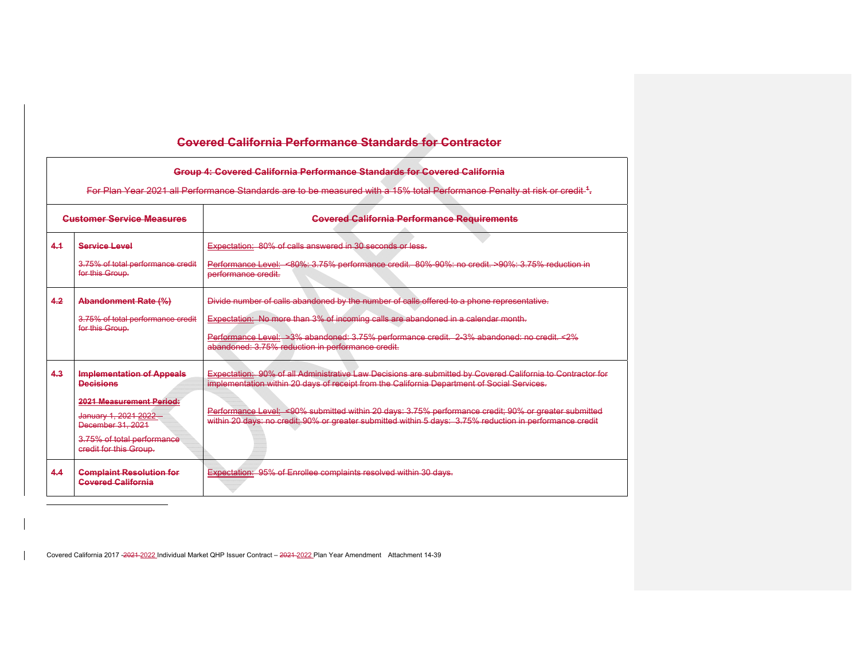|     | Group 4: Covered California Performance Standards for Covered California<br>For Plan Year 2021 all Performance Standards are to be measured with a 15% total Performance Penalty at risk or credit. <sup>4</sup> |                                                                                                                                                                                                                                                                                                                                                                                                                               |  |  |  |  |
|-----|------------------------------------------------------------------------------------------------------------------------------------------------------------------------------------------------------------------|-------------------------------------------------------------------------------------------------------------------------------------------------------------------------------------------------------------------------------------------------------------------------------------------------------------------------------------------------------------------------------------------------------------------------------|--|--|--|--|
|     | <b>Customer Service Measures</b>                                                                                                                                                                                 | <b>Covered California Performance Requirements</b>                                                                                                                                                                                                                                                                                                                                                                            |  |  |  |  |
| 4.1 | Service Level<br>3.75% of total performance credit<br>for this Group.                                                                                                                                            | Expectation: 80% of calls answered in 30 seconds or less-<br>Performance Level: <80%: 3.75% performance credit. 80%-90%: no credit. >90%: 3.75% reduction in<br>performance credit.                                                                                                                                                                                                                                           |  |  |  |  |
| 4.2 | Abandonment Rate (%)<br>3.75% of total performance credit<br>for this Group.                                                                                                                                     | Divide number of calls abandoned by the number of calls offered to a phone representative.<br>Expectation: No more than 3% of incoming calls are abandoned in a calendar month.<br>Performance Level: >3% abandoned: 3.75% performance credit. 2.3% abandoned: no credit <2%<br>abandoned: 3.75% reduction in performance credit.                                                                                             |  |  |  |  |
| 4.3 | <b>Implementation of Appeals</b><br><b>Decisions</b><br><b>2021 Measurement Period:</b><br>January 1, 2021 2022-<br>December 31, 2021<br>3.75% of total performance<br>credit for this Group.                    | Expectation: 90% of all Administrative Law Decisions are submitted by Covered California to Contractor for<br>implementation within 20 days of receipt from the California Department of Social Services.<br>Performance Level: <90% submitted within 20 days: 3.75% performance credit: 90% or greater submitted<br>within 20 days: no credit: 90% or greater submitted within 5 days: 3.75% reduction in performance credit |  |  |  |  |
| 4.4 | <b>Complaint Resolution for</b><br><b>Covered California</b>                                                                                                                                                     | Expectation: 95% of Enrollee complaints resolved within 30 days.                                                                                                                                                                                                                                                                                                                                                              |  |  |  |  |

Covered California 2017 -2021 2022 Individual Market QHP Issuer Contract - 2021-2022 Plan Year Amendment Attachment 14-39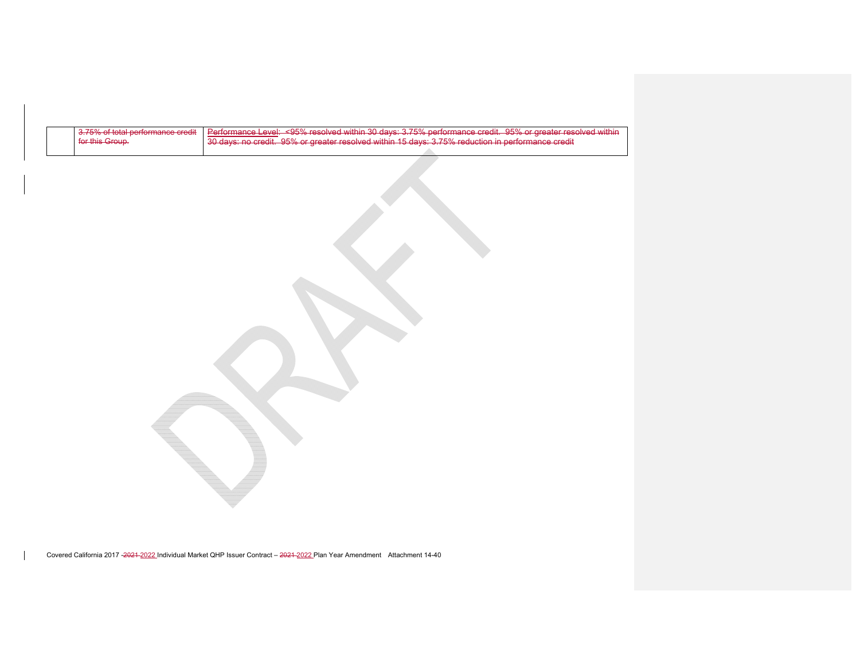| 3.75% of total performance credit | Performance Level: <95% resolved within 30 days: 3.75% performance credit. 95% or greater resolved within |
|-----------------------------------|-----------------------------------------------------------------------------------------------------------|
| for this Group.                   | $\mid$ 30 days: no credit. 95% or greater resolved within 15 days: 3.75% reduction in performance credit  |
|                                   |                                                                                                           |

Covered California 2017 -2021 2022 Individual Market QHP Issuer Contract - 2021-2022 Plan Year Amendment Attachment 14-40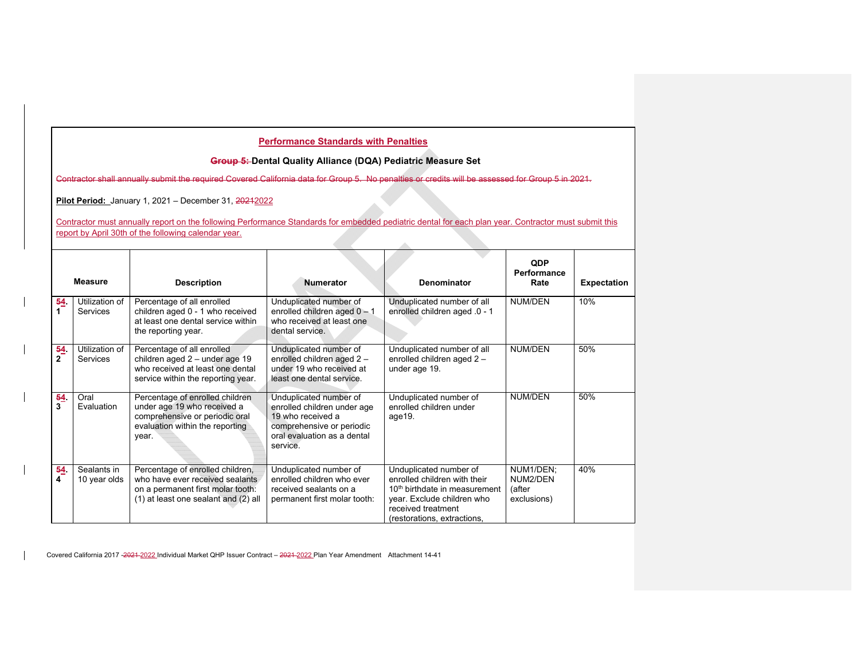#### **Group 5: Dental Quality Alliance (DQA) Pediatric Measure Set**

Contractor shall annually submit the required Covered California data for Group 5. No penalties or credits will be assessed for Group 5 in 2021.

**Pilot Period:** January 1, 2021 – December 31, 20212022

Contractor must annually report on the following Performance Standards for embedded pediatric dental for each plan year. Contractor must submit this report by April 30th of the following calendar year.

|                     | <b>Measure</b>                    | <b>Description</b>                                                                                                                               | <b>Numerator</b>                                                                                                                                   | Denominator                                                                                                                                                                            | <b>QDP</b><br>Performance<br>Rate              | <b>Expectation</b> |  |
|---------------------|-----------------------------------|--------------------------------------------------------------------------------------------------------------------------------------------------|----------------------------------------------------------------------------------------------------------------------------------------------------|----------------------------------------------------------------------------------------------------------------------------------------------------------------------------------------|------------------------------------------------|--------------------|--|
| 54                  | Utilization of<br>Services        | Percentage of all enrolled<br>children aged 0 - 1 who received<br>at least one dental service within<br>the reporting year.                      | Unduplicated number of<br>enrolled children aged $0 - 1$<br>who received at least one<br>dental service.                                           | Unduplicated number of all<br>enrolled children aged .0 - 1                                                                                                                            | <b>NUM/DEN</b>                                 | 10%                |  |
| 54.<br>$\mathbf{2}$ | Utilization of<br><b>Services</b> | Percentage of all enrolled<br>children aged 2 - under age 19<br>who received at least one dental<br>service within the reporting year.           | Unduplicated number of<br>enrolled children aged 2 -<br>under 19 who received at<br>least one dental service.                                      | Unduplicated number of all<br>enrolled children aged 2 -<br>under age 19.                                                                                                              | NUM/DEN                                        | 50%                |  |
| 64<br>3             | Oral<br>Evaluation                | Percentage of enrolled children<br>under age 19 who received a<br>comprehensive or periodic oral<br>evaluation within the reporting<br>year.     | Unduplicated number of<br>enrolled children under age<br>19 who received a<br>comprehensive or periodic<br>oral evaluation as a dental<br>service. | Unduplicated number of<br>enrolled children under<br>age19.                                                                                                                            | NUM/DEN                                        | 50%                |  |
| 64<br>4             | Sealants in<br>10 year olds       | Percentage of enrolled children,<br>who have ever received sealants<br>on a permanent first molar tooth:<br>(1) at least one sealant and (2) all | Unduplicated number of<br>enrolled children who ever<br>received sealants on a<br>permanent first molar tooth:                                     | Unduplicated number of<br>enrolled children with their<br>10 <sup>th</sup> birthdate in measurement<br>vear. Exclude children who<br>received treatment<br>(restorations, extractions, | NUM1/DEN;<br>NUM2/DEN<br>(after<br>exclusions) | 40%                |  |

Covered California 2017 -2021-2022 Individual Market QHP Issuer Contract - 2021-2022 Plan Year Amendment Attachment 14-41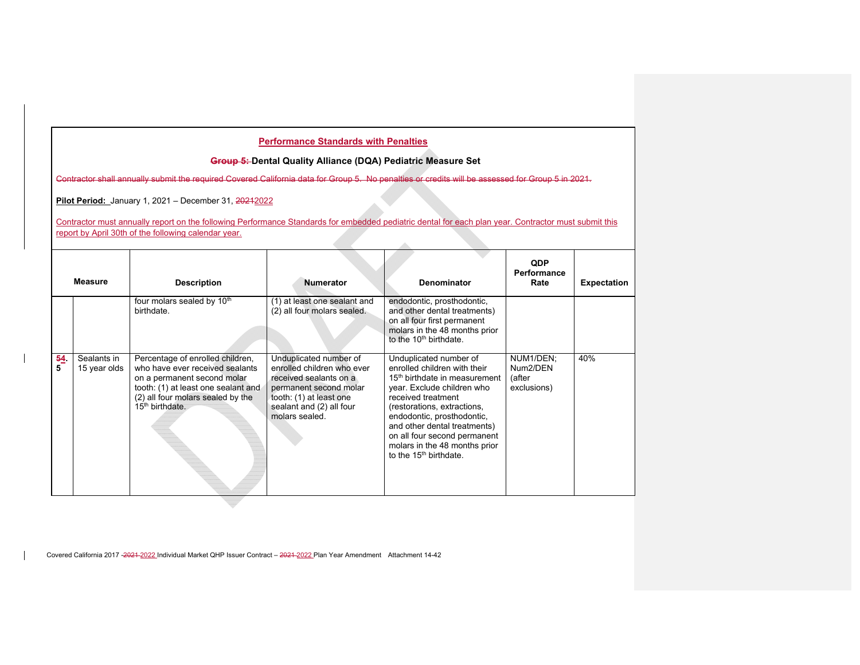#### **Group 5: Dental Quality Alliance (DQA) Pediatric Measure Set**

Contractor shall annually submit the required Covered California data for Group 5. No penalties or credits will be assessed for Group 5 in 2021.

**Pilot Period:** January 1, 2021 - December 31, 2021-2022

Contractor must annually report on the following Performance Standards for embedded pediatric dental for each plan year. Contractor must submit this report by April 30th of the following calendar year.

à.

|         | <b>Measure</b>              | <b>Description</b>                                                                                                                                                                                            | <b>Numerator</b>                                                                                                                                                                  | <b>Denominator</b>                                                                                                                                                                                                                                                                                                                                | <b>QDP</b><br>Performance<br>Rate              | <b>Expectation</b> |
|---------|-----------------------------|---------------------------------------------------------------------------------------------------------------------------------------------------------------------------------------------------------------|-----------------------------------------------------------------------------------------------------------------------------------------------------------------------------------|---------------------------------------------------------------------------------------------------------------------------------------------------------------------------------------------------------------------------------------------------------------------------------------------------------------------------------------------------|------------------------------------------------|--------------------|
|         |                             | four molars sealed by 10 <sup>th</sup><br>birthdate.                                                                                                                                                          | (1) at least one sealant and<br>(2) all four molars sealed.                                                                                                                       | endodontic, prosthodontic,<br>and other dental treatments)<br>on all four first permanent<br>molars in the 48 months prior<br>to the 10 <sup>th</sup> birthdate.                                                                                                                                                                                  |                                                |                    |
| 54<br>5 | Sealants in<br>15 year olds | Percentage of enrolled children,<br>who have ever received sealants<br>on a permanent second molar<br>tooth: (1) at least one sealant and<br>(2) all four molars sealed by the<br>15 <sup>th</sup> birthdate. | Unduplicated number of<br>enrolled children who ever<br>received sealants on a<br>permanent second molar<br>tooth: (1) at least one<br>sealant and (2) all four<br>molars sealed. | Unduplicated number of<br>enrolled children with their<br>15 <sup>th</sup> birthdate in measurement<br>year. Exclude children who<br>received treatment<br>(restorations, extractions,<br>endodontic, prosthodontic,<br>and other dental treatments)<br>on all four second permanent<br>molars in the 48 months prior<br>to the $15th$ birthdate. | NUM1/DEN;<br>Num2/DEN<br>(after<br>exclusions) | 40%                |

Covered California 2017 -2021-2022 Individual Market QHP Issuer Contract - 2021-2022 Plan Year Amendment Attachment 14-42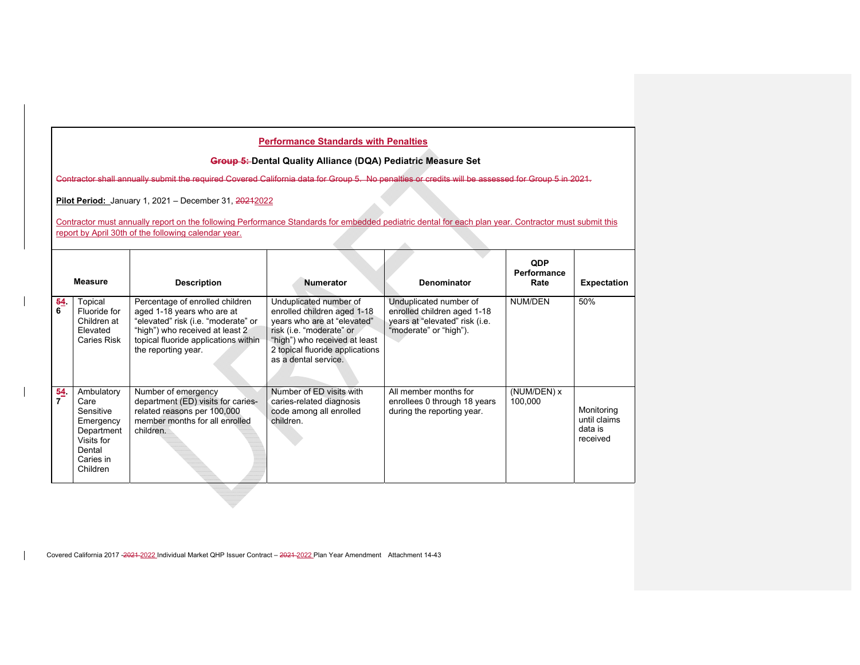### **Group 5: Dental Quality Alliance (DQA) Pediatric Measure Set**

Contractor shall annually submit the required Covered California data for Group 5. No penalties or credits will be assessed for Group 5 in 2021.

**Pilot Period:** January 1, 2021 – December 31, 20212022

Contractor must annually report on the following Performance Standards for embedded pediatric dental for each plan year. Contractor must submit this report by April 30th of the following calendar year.

À.

|          | <b>Measure</b>                                                                                              | <b>Description</b>                                                                                                                                                                                     | <b>Numerator</b>                                                                                                                                                                                             | Denominator                                                                                                       | <b>QDP</b><br>Performance<br>Rate | <b>Expectation</b>                                |
|----------|-------------------------------------------------------------------------------------------------------------|--------------------------------------------------------------------------------------------------------------------------------------------------------------------------------------------------------|--------------------------------------------------------------------------------------------------------------------------------------------------------------------------------------------------------------|-------------------------------------------------------------------------------------------------------------------|-----------------------------------|---------------------------------------------------|
| 54.<br>6 | Topical<br>Fluoride for<br>Children at<br>Elevated<br>Caries Risk                                           | Percentage of enrolled children<br>aged 1-18 years who are at<br>"elevated" risk (i.e. "moderate" or<br>"high") who received at least 2<br>topical fluoride applications within<br>the reporting year. | Unduplicated number of<br>enrolled children aged 1-18<br>years who are at "elevated"<br>risk (i.e. "moderate" or<br>"high") who received at least<br>2 topical fluoride applications<br>as a dental service. | Unduplicated number of<br>enrolled children aged 1-18<br>years at "elevated" risk (i.e.<br>"moderate" or "high"). | NUM/DEN                           | 50%                                               |
| 54<br>7  | Ambulatory<br>Care<br>Sensitive<br>Emergency<br>Department<br>Visits for<br>Dental<br>Caries in<br>Children | Number of emergency<br>department (ED) visits for caries-<br>related reasons per 100,000<br>member months for all enrolled<br>children.                                                                | Number of ED visits with<br>caries-related diagnosis<br>code among all enrolled<br>children.                                                                                                                 | All member months for<br>enrollees 0 through 18 years<br>during the reporting year.                               | (NUM/DEN) x<br>100,000            | Monitoring<br>until claims<br>data is<br>received |

Covered California 2017 -2021 2022 Individual Market QHP Issuer Contract - 2021-2022 Plan Year Amendment Attachment 14-43